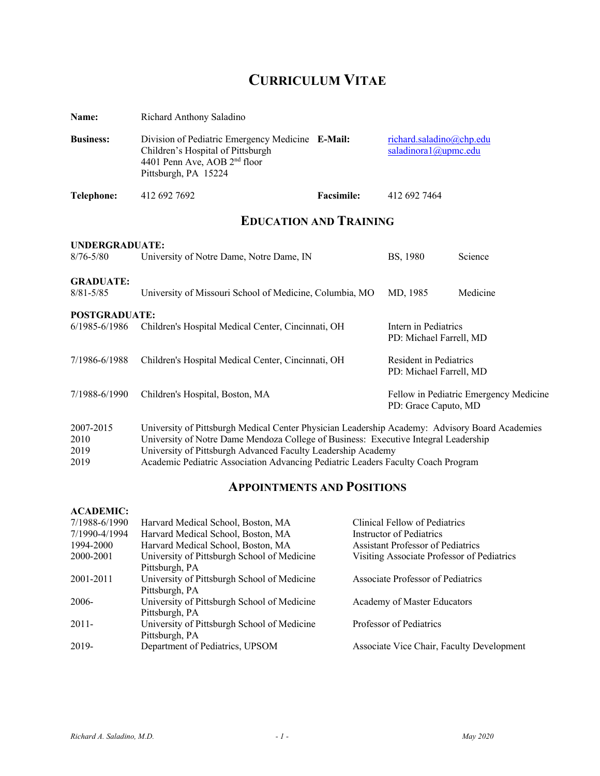# **CURRICULUM VITAE**

| Name:                             | Richard Anthony Saladino                                                                                                                                                                                                                              |                   |                                                   |                                        |
|-----------------------------------|-------------------------------------------------------------------------------------------------------------------------------------------------------------------------------------------------------------------------------------------------------|-------------------|---------------------------------------------------|----------------------------------------|
| <b>Business:</b>                  | Division of Pediatric Emergency Medicine E-Mail:<br>Children's Hospital of Pittsburgh<br>4401 Penn Ave, AOB 2 <sup>nd</sup> floor<br>Pittsburgh, PA 15224                                                                                             |                   | richard.saladino@chp.edu<br>saladinora1@upmc.edu  |                                        |
| <b>Telephone:</b>                 | 412 692 7692                                                                                                                                                                                                                                          | <b>Facsimile:</b> | 412 692 7464                                      |                                        |
|                                   | <b>EDUCATION AND TRAINING</b>                                                                                                                                                                                                                         |                   |                                                   |                                        |
| UNDERGRADUATE:<br>$8/76 - 5/80$   | University of Notre Dame, Notre Dame, IN                                                                                                                                                                                                              |                   | BS, 1980                                          | Science                                |
| <b>GRADUATE:</b><br>$8/81 - 5/85$ | University of Missouri School of Medicine, Columbia, MO                                                                                                                                                                                               |                   | MD, 1985                                          | Medicine                               |
| <b>POSTGRADUATE:</b>              |                                                                                                                                                                                                                                                       |                   |                                                   |                                        |
| 6/1985-6/1986                     | Children's Hospital Medical Center, Cincinnati, OH                                                                                                                                                                                                    |                   | Intern in Pediatrics<br>PD: Michael Farrell, MD   |                                        |
| 7/1986-6/1988                     | Children's Hospital Medical Center, Cincinnati, OH                                                                                                                                                                                                    |                   | Resident in Pediatrics<br>PD: Michael Farrell, MD |                                        |
| 7/1988-6/1990                     | Children's Hospital, Boston, MA                                                                                                                                                                                                                       |                   | PD: Grace Caputo, MD                              | Fellow in Pediatric Emergency Medicine |
| 2007-2015<br>2010<br>2019         | University of Pittsburgh Medical Center Physician Leadership Academy: Advisory Board Academies<br>University of Notre Dame Mendoza College of Business: Executive Integral Leadership<br>University of Pittsburgh Advanced Faculty Leadership Academy |                   |                                                   |                                        |

2019 Academic Pediatric Association Advancing Pediatric Leaders Faculty Coach Program

# **APPOINTMENTS AND POSITIONS**

# **ACADEMIC:**

| 7/1988-6/1990 | Harvard Medical School, Boston, MA          | Clinical Fellow of Pediatrics              |
|---------------|---------------------------------------------|--------------------------------------------|
| 7/1990-4/1994 | Harvard Medical School, Boston, MA          | Instructor of Pediatrics                   |
| 1994-2000     | Harvard Medical School, Boston, MA          | <b>Assistant Professor of Pediatrics</b>   |
| 2000-2001     | University of Pittsburgh School of Medicine | Visiting Associate Professor of Pediatrics |
|               | Pittsburgh, PA                              |                                            |
| 2001-2011     | University of Pittsburgh School of Medicine | Associate Professor of Pediatrics          |
|               | Pittsburgh, PA                              |                                            |
| 2006-         | University of Pittsburgh School of Medicine | Academy of Master Educators                |
|               | Pittsburgh, PA                              |                                            |
| $2011 -$      | University of Pittsburgh School of Medicine | Professor of Pediatrics                    |
|               | Pittsburgh, PA                              |                                            |
| 2019-         | Department of Pediatrics, UPSOM             | Associate Vice Chair, Faculty Development  |
|               |                                             |                                            |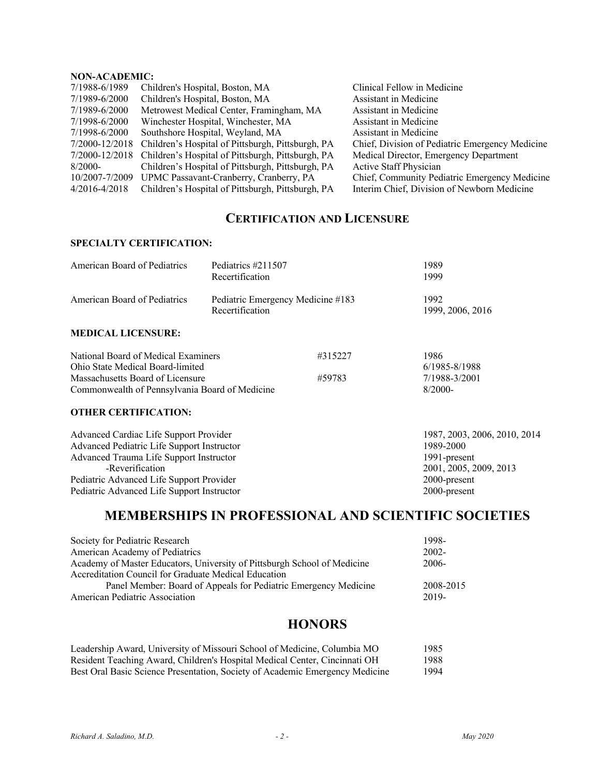# **NON-ACADEMIC:**

| 7/1988-6/1989  | Children's Hospital, Boston, MA                   | Clinical Fellow in Medicine                     |
|----------------|---------------------------------------------------|-------------------------------------------------|
| 7/1989-6/2000  | Children's Hospital, Boston, MA                   | Assistant in Medicine                           |
| 7/1989-6/2000  | Metrowest Medical Center, Framingham, MA          | Assistant in Medicine                           |
| 7/1998-6/2000  | Winchester Hospital, Winchester, MA               | Assistant in Medicine                           |
| 7/1998-6/2000  | Southshore Hospital, Weyland, MA                  | Assistant in Medicine                           |
| 7/2000-12/2018 | Children's Hospital of Pittsburgh, Pittsburgh, PA | Chief, Division of Pediatric Emergency Medicine |
| 7/2000-12/2018 | Children's Hospital of Pittsburgh, Pittsburgh, PA | Medical Director, Emergency Department          |
| $8/2000-$      | Children's Hospital of Pittsburgh, Pittsburgh, PA | Active Staff Physician                          |
| 10/2007-7/2009 | UPMC Passavant-Cranberry, Cranberry, PA           | Chief, Community Pediatric Emergency Medicine   |
| 4/2016-4/2018  | Children's Hospital of Pittsburgh, Pittsburgh, PA | Interim Chief, Division of Newborn Medicine     |
|                |                                                   |                                                 |

# **CERTIFICATION AND LICENSURE**

# **SPECIALTY CERTIFICATION:**

| American Board of Pediatrics                                                                                                                                  | Pediatrics #211507<br>Recertification |                   | 1989<br>1999                                        |
|---------------------------------------------------------------------------------------------------------------------------------------------------------------|---------------------------------------|-------------------|-----------------------------------------------------|
| American Board of Pediatrics<br>Pediatric Emergency Medicine #183<br>Recertification                                                                          |                                       |                   | 1992<br>1999, 2006, 2016                            |
| <b>MEDICAL LICENSURE:</b>                                                                                                                                     |                                       |                   |                                                     |
| National Board of Medical Examiners<br>Ohio State Medical Board-limited<br>Massachusetts Board of Licensure<br>Commonwealth of Pennsylvania Board of Medicine |                                       | #315227<br>#59783 | 1986<br>6/1985-8/1988<br>7/1988-3/2001<br>$8/2000-$ |
|                                                                                                                                                               |                                       |                   |                                                     |

# **OTHER CERTIFICATION:**

| Advanced Cardiac Life Support Provider     | 1987, 2003, 2006, 2010, 2014 |
|--------------------------------------------|------------------------------|
| Advanced Pediatric Life Support Instructor | 1989-2000                    |
| Advanced Trauma Life Support Instructor    | 1991-present                 |
| -Reverification                            | 2001, 2005, 2009, 2013       |
| Pediatric Advanced Life Support Provider   | 2000-present                 |
| Pediatric Advanced Life Support Instructor | 2000-present                 |

# **MEMBERSHIPS IN PROFESSIONAL AND SCIENTIFIC SOCIETIES**

| Society for Pediatric Research                                           | 1998-     |
|--------------------------------------------------------------------------|-----------|
| American Academy of Pediatrics                                           | $2002 -$  |
| Academy of Master Educators, University of Pittsburgh School of Medicine | $2006-$   |
| Accreditation Council for Graduate Medical Education                     |           |
| Panel Member: Board of Appeals for Pediatric Emergency Medicine          | 2008-2015 |
| American Pediatric Association                                           | 2019-     |
|                                                                          |           |

# **HONORS**

| Leadership Award, University of Missouri School of Medicine, Columbia MO     | 1985 |
|------------------------------------------------------------------------------|------|
| Resident Teaching Award, Children's Hospital Medical Center, Cincinnati OH   | 1988 |
| Best Oral Basic Science Presentation, Society of Academic Emergency Medicine | 1994 |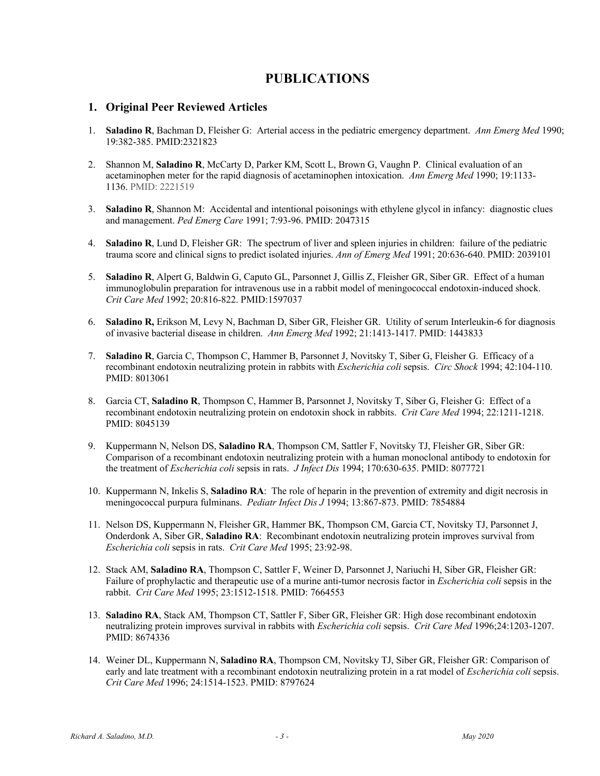# **PUBLICATIONS**

# **1. Original Peer Reviewed Articles**

- 1. **Saladino R**, Bachman D, Fleisher G: Arterial access in the pediatric emergency department. *Ann Emerg Med* 1990; 19:382-385. PMID:2321823
- 2. Shannon M, **Saladino R**, McCarty D, Parker KM, Scott L, Brown G, Vaughn P. Clinical evaluation of an acetaminophen meter for the rapid diagnosis of acetaminophen intoxication. *Ann Emerg Med* 1990; 19:1133- 1136. PMID: 2221519
- 3. **Saladino R**, Shannon M: Accidental and intentional poisonings with ethylene glycol in infancy: diagnostic clues and management. *Ped Emerg Care* 1991; 7:93-96. PMID: 2047315
- 4. **Saladino R**, Lund D, Fleisher GR: The spectrum of liver and spleen injuries in children: failure of the pediatric trauma score and clinical signs to predict isolated injuries. *Ann of Emerg Med* 1991; 20:636-640. PMID: 2039101
- 5. **Saladino R**, Alpert G, Baldwin G, Caputo GL, Parsonnet J, Gillis Z, Fleisher GR, Siber GR. Effect of a human immunoglobulin preparation for intravenous use in a rabbit model of meningococcal endotoxin-induced shock. *Crit Care Med* 1992; 20:816-822. PMID:1597037
- 6. **Saladino R,** Erikson M, Levy N, Bachman D, Siber GR, Fleisher GR. Utility of serum Interleukin-6 for diagnosis of invasive bacterial disease in children. *Ann Emerg Med* 1992; 21:1413-1417. PMID: 1443833
- 7. **Saladino R**, Garcia C, Thompson C, Hammer B, Parsonnet J, Novitsky T, Siber G, Fleisher G. Efficacy of a recombinant endotoxin neutralizing protein in rabbits with *Escherichia coli* sepsis. *Circ Shock* 1994; 42:104-110. PMID: 8013061
- 8. Garcia CT, **Saladino R**, Thompson C, Hammer B, Parsonnet J, Novitsky T, Siber G, Fleisher G: Effect of a recombinant endotoxin neutralizing protein on endotoxin shock in rabbits. *Crit Care Med* 1994; 22:1211-1218. PMID: 8045139
- 9. Kuppermann N, Nelson DS, **Saladino RA**, Thompson CM, Sattler F, Novitsky TJ, Fleisher GR, Siber GR: Comparison of a recombinant endotoxin neutralizing protein with a human monoclonal antibody to endotoxin for the treatment of *Escherichia coli* sepsis in rats. *J Infect Dis* 1994; 170:630-635. PMID: 8077721
- 10. Kuppermann N, Inkelis S, **Saladino RA**: The role of heparin in the prevention of extremity and digit necrosis in meningococcal purpura fulminans. *Pediatr Infect Dis J* 1994; 13:867-873. PMID: 7854884
- 11. Nelson DS, Kuppermann N, Fleisher GR, Hammer BK, Thompson CM, Garcia CT, Novitsky TJ, Parsonnet J, Onderdonk A, Siber GR, **Saladino RA**: Recombinant endotoxin neutralizing protein improves survival from *Escherichia coli* sepsis in rats. *Crit Care Med* 1995; 23:92-98.
- 12. Stack AM, **Saladino RA**, Thompson C, Sattler F, Weiner D, Parsonnet J, Nariuchi H, Siber GR, Fleisher GR: Failure of prophylactic and therapeutic use of a murine anti-tumor necrosis factor in *Escherichia coli* sepsis in the rabbit. *Crit Care Med* 1995; 23:1512-1518. PMID: 7664553
- 13. **Saladino RA**, Stack AM, Thompson CT, Sattler F, Siber GR, Fleisher GR: High dose recombinant endotoxin neutralizing protein improves survival in rabbits with *Escherichia coli* sepsis. *Crit Care Med* 1996;24:1203-1207. PMID: 8674336
- 14. Weiner DL, Kuppermann N, **Saladino RA**, Thompson CM, Novitsky TJ, Siber GR, Fleisher GR: Comparison of early and late treatment with a recombinant endotoxin neutralizing protein in a rat model of *Escherichia coli* sepsis. *Crit Care Med* 1996; 24:1514-1523. PMID: 8797624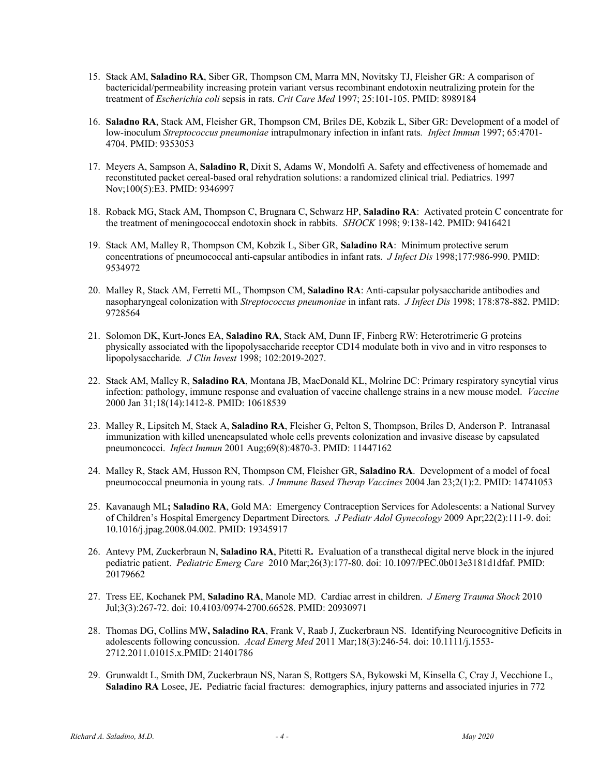- 15. Stack AM, **Saladino RA**, Siber GR, Thompson CM, Marra MN, Novitsky TJ, Fleisher GR: A comparison of bactericidal/permeability increasing protein variant versus recombinant endotoxin neutralizing protein for the treatment of *Escherichia coli* sepsis in rats. *Crit Care Med* 1997; 25:101-105. PMID: 8989184
- 16. **Saladno RA**, Stack AM, Fleisher GR, Thompson CM, Briles DE, Kobzik L, Siber GR: Development of a model of low-inoculum *Streptococcus pneumoniae* intrapulmonary infection in infant rats*. Infect Immun* 1997; 65:4701- 4704. PMID: 9353053
- 17. Meyers A, Sampson A, **Saladino R**, Dixit S, Adams W, Mondolfi A. Safety and effectiveness of homemade and reconstituted packet cereal-based oral rehydration solutions: a randomized clinical trial. Pediatrics. 1997 Nov;100(5):E3. PMID: 9346997
- 18. Roback MG, Stack AM, Thompson C, Brugnara C, Schwarz HP, **Saladino RA**: Activated protein C concentrate for the treatment of meningococcal endotoxin shock in rabbits. *SHOCK* 1998; 9:138-142. PMID: 9416421
- 19. Stack AM, Malley R, Thompson CM, Kobzik L, Siber GR, **Saladino RA**: Minimum protective serum concentrations of pneumococcal anti-capsular antibodies in infant rats.*J Infect Dis* 1998;177:986-990. PMID: 9534972
- 20. Malley R, Stack AM, Ferretti ML, Thompson CM, **Saladino RA**: Anti-capsular polysaccharide antibodies and nasopharyngeal colonization with *Streptococcus pneumoniae* in infant rats. *J Infect Dis* 1998; 178:878-882. PMID: 9728564
- 21. Solomon DK, Kurt-Jones EA, **Saladino RA**, Stack AM, Dunn IF, Finberg RW: Heterotrimeric G proteins physically associated with the lipopolysaccharide receptor CD14 modulate both in vivo and in vitro responses to lipopolysaccharide*. J Clin Invest* 1998; 102:2019-2027.
- 22. Stack AM, Malley R, **Saladino RA**, Montana JB, MacDonald KL, Molrine DC: Primary respiratory syncytial virus infection: pathology, immune response and evaluation of vaccine challenge strains in a new mouse model. *Vaccine* 2000 Jan 31;18(14):1412-8. PMID: 10618539
- 23. Malley R, Lipsitch M, Stack A, **Saladino RA**, Fleisher G, Pelton S, Thompson, Briles D, Anderson P. Intranasal immunization with killed unencapsulated whole cells prevents colonization and invasive disease by capsulated pneumoncocci. *Infect Immun* 2001 Aug;69(8):4870-3. PMID: 11447162
- 24. Malley R, Stack AM, Husson RN, Thompson CM, Fleisher GR, **Saladino RA**. Development of a model of focal pneumococcal pneumonia in young rats. *J Immune Based Therap Vaccines* 2004 Jan 23;2(1):2. PMID: 14741053
- 25. Kavanaugh ML**; Saladino RA**, Gold MA: Emergency Contraception Services for Adolescents: a National Survey of Children's Hospital Emergency Department Directors*. J Pediatr Adol Gynecology* 2009 Apr;22(2):111-9. doi: 10.1016/j.jpag.2008.04.002. PMID: 19345917
- 26. Antevy PM, Zuckerbraun N, **Saladino RA**, Pitetti R**.** Evaluation of a transthecal digital nerve block in the injured pediatric patient. *Pediatric Emerg Care* 2010 Mar;26(3):177-80. doi: 10.1097/PEC.0b013e3181d1dfaf. PMID: 20179662
- 27. Tress EE, Kochanek PM, **Saladino RA**, Manole MD. Cardiac arrest in children. *J Emerg Trauma Shock* 2010 Jul;3(3):267-72. doi: 10.4103/0974-2700.66528. PMID: 20930971
- 28. Thomas DG, Collins MW**, Saladino RA**, Frank V, Raab J, Zuckerbraun NS. Identifying Neurocognitive Deficits in adolescents following concussion. *Acad Emerg Med* 2011 Mar;18(3):246-54. doi: 10.1111/j.1553- 2712.2011.01015.x.PMID: 21401786
- 29. Grunwaldt L, Smith DM, Zuckerbraun NS, Naran S, Rottgers SA, Bykowski M, Kinsella C, Cray J, Vecchione L, **Saladino RA** Losee, JE**.** Pediatric facial fractures: demographics, injury patterns and associated injuries in 772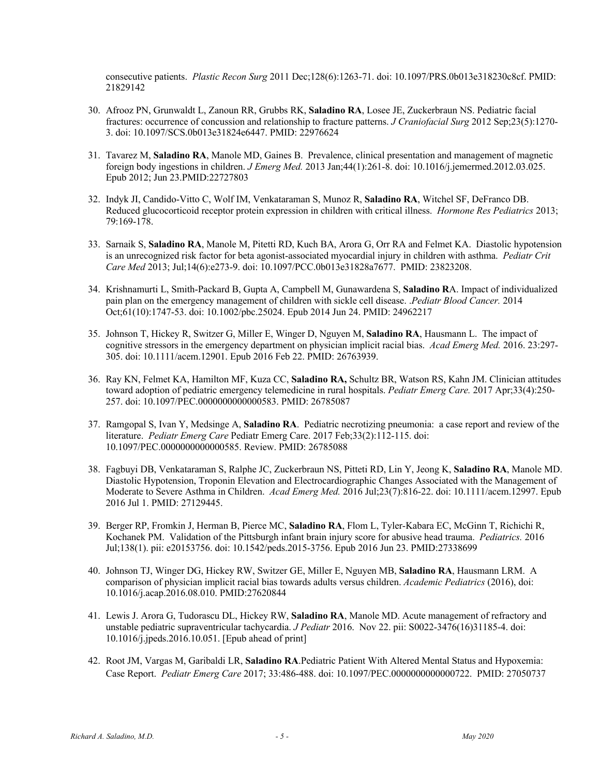consecutive patients. *Plastic Recon Surg* 2011 Dec;128(6):1263-71. doi: 10.1097/PRS.0b013e318230c8cf. PMID: 21829142

- 30. Afrooz PN, Grunwaldt L, Zanoun RR, Grubbs RK, **Saladino RA**, Losee JE, Zuckerbraun NS. Pediatric facial fractures: occurrence of concussion and relationship to fracture patterns. *J Craniofacial Surg* 2012 Sep;23(5):1270- 3. doi: 10.1097/SCS.0b013e31824e6447. PMID: 22976624
- 31. Tavarez M, **Saladino RA**, Manole MD, Gaines B. Prevalence, clinical presentation and management of magnetic foreign body ingestions in children. *J Emerg Med.* 2013 Jan;44(1):261-8. doi: 10.1016/j.jemermed.2012.03.025. Epub 2012; Jun 23.PMID:22727803
- 32. Indyk JI, Candido-Vitto C, Wolf IM, Venkataraman S, Munoz R, **Saladino RA**, Witchel SF, DeFranco DB. Reduced glucocorticoid receptor protein expression in children with critical illness. *Hormone Res Pediatrics* 2013; 79:169-178.
- 33. Sarnaik S, **Saladino RA**, Manole M, Pitetti RD, Kuch BA, Arora G, Orr RA and Felmet KA. Diastolic hypotension is an unrecognized risk factor for beta agonist-associated myocardial injury in children with asthma. *Pediatr Crit Care Med* 2013; Jul;14(6):e273-9. doi: 10.1097/PCC.0b013e31828a7677. PMID: 23823208.
- 34. Krishnamurti L, Smith-Packard B, Gupta A, Campbell M, Gunawardena S, **Saladino R**A. Impact of individualized pain plan on the emergency management of children with sickle cell disease. .*Pediatr Blood Cancer.* 2014 Oct;61(10):1747-53. doi: 10.1002/pbc.25024. Epub 2014 Jun 24. PMID: 24962217
- 35. Johnson T, Hickey R, Switzer G, Miller E, Winger D, Nguyen M, **Saladino RA**, Hausmann L. The impact of cognitive stressors in the emergency department on physician implicit racial bias. *Acad Emerg Med.* 2016. 23:297- 305. doi: 10.1111/acem.12901. Epub 2016 Feb 22. PMID: 26763939.
- 36. Ray KN, Felmet KA, Hamilton MF, Kuza CC, **Saladino RA,** Schultz BR, Watson RS, Kahn JM. Clinician attitudes toward adoption of pediatric emergency telemedicine in rural hospitals. *Pediatr Emerg Care.* 2017 Apr;33(4):250- 257. doi: 10.1097/PEC.0000000000000583. PMID: 26785087
- 37. Ramgopal S, Ivan Y, Medsinge A, **Saladino RA**. Pediatric necrotizing pneumonia: a case report and review of the literature. *Pediatr Emerg Care* Pediatr Emerg Care. 2017 Feb;33(2):112-115. doi: 10.1097/PEC.0000000000000585. Review. PMID: 26785088
- 38. Fagbuyi DB, Venkataraman S, Ralphe JC, Zuckerbraun NS, Pitteti RD, Lin Y, Jeong K, **Saladino RA**, Manole MD. Diastolic Hypotension, Troponin Elevation and Electrocardiographic Changes Associated with the Management of Moderate to Severe Asthma in Children. *Acad Emerg Med.* 2016 Jul;23(7):816-22. doi: 10.1111/acem.12997. Epub 2016 Jul 1. PMID: 27129445.
- 39. Berger RP, Fromkin J, Herman B, Pierce MC, **Saladino RA**, Flom L, Tyler-Kabara EC, McGinn T, Richichi R, Kochanek PM. Validation of the Pittsburgh infant brain injury score for abusive head trauma. *Pediatrics.* 2016 Jul;138(1). pii: e20153756. doi: 10.1542/peds.2015-3756. Epub 2016 Jun 23. PMID:27338699
- 40. Johnson TJ, Winger DG, Hickey RW, Switzer GE, Miller E, Nguyen MB, **Saladino RA**, Hausmann LRM. A comparison of physician implicit racial bias towards adults versus children. *Academic Pediatrics* (2016), doi: 10.1016/j.acap.2016.08.010. PMID:27620844
- 41. Lewis J. Arora G, Tudorascu DL, Hickey RW, **Saladino RA**, Manole MD. Acute management of refractory and unstable pediatric supraventricular tachycardia. *J Pediatr* 2016. Nov 22. pii: S0022-3476(16)31185-4. doi: 10.1016/j.jpeds.2016.10.051. [Epub ahead of print]
- 42. Root JM, Vargas M, Garibaldi LR, **Saladino RA**.Pediatric Patient With Altered Mental Status and Hypoxemia: Case Report. *Pediatr Emerg Care* 2017; 33:486-488. doi: 10.1097/PEC.0000000000000722. PMID: 27050737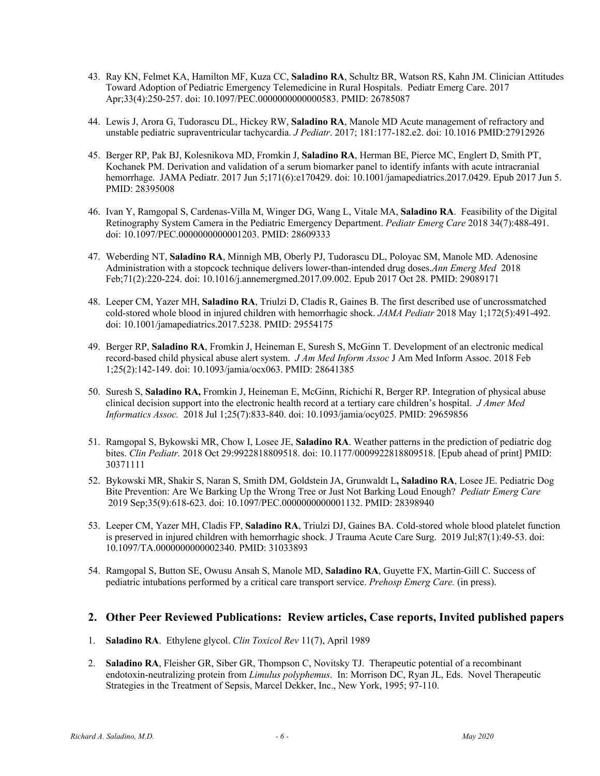- 43. Ray KN, Felmet KA, Hamilton MF, Kuza CC, **Saladino RA**, Schultz BR, Watson RS, Kahn JM. Clinician Attitudes Toward Adoption of Pediatric Emergency Telemedicine in Rural Hospitals. Pediatr Emerg Care. 2017 Apr;33(4):250-257. doi: 10.1097/PEC.0000000000000583. PMID: 26785087
- 44. Lewis J, Arora G, Tudorascu DL, Hickey RW, **Saladino RA**, Manole MD Acute management of refractory and unstable pediatric supraventricular tachycardia. *J Pediatr*. 2017; 181:177-182.e2. doi: 10.1016 PMID:27912926
- 45. Berger RP, Pak BJ, Kolesnikova MD, Fromkin J, **Saladino RA**, Herman BE, Pierce MC, Englert D, Smith PT, Kochanek PM. Derivation and validation of a serum biomarker panel to identify infants with acute intracranial hemorrhage. JAMA Pediatr. 2017 Jun 5;171(6):e170429. doi: 10.1001/jamapediatrics.2017.0429. Epub 2017 Jun 5. PMID: 28395008
- 46. Ivan Y, Ramgopal S, Cardenas-Villa M, Winger DG, Wang L, Vitale MA, **Saladino RA**. Feasibility of the Digital Retinography System Camera in the Pediatric Emergency Department. *Pediatr Emerg Care* 2018 34(7):488-491. doi: 10.1097/PEC.0000000000001203. PMID: 28609333
- 47. Weberding NT, **Saladino RA**, Minnigh MB, Oberly PJ, Tudorascu DL, Poloyac SM, Manole MD. Adenosine Administration with a stopcock technique delivers lower-than-intended drug doses.*Ann Emerg Med* 2018 Feb;71(2):220-224. doi: 10.1016/j.annemergmed.2017.09.002. Epub 2017 Oct 28. PMID: 29089171
- 48. Leeper CM, Yazer MH, **Saladino RA**, Triulzi D, Cladis R, Gaines B. The first described use of uncrossmatched cold-stored whole blood in injured children with hemorrhagic shock. *JAMA Pediatr* 2018 May 1;172(5):491-492. doi: 10.1001/jamapediatrics.2017.5238. PMID: 29554175
- 49. Berger RP, **Saladino RA**, Fromkin J, Heineman E, Suresh S, McGinn T. Development of an electronic medical record-based child physical abuse alert system. *J Am Med Inform Assoc* J Am Med Inform Assoc. 2018 Feb 1;25(2):142-149. doi: 10.1093/jamia/ocx063. PMID: 28641385
- 50. Suresh S, **Saladino RA,** Fromkin J, Heineman E, McGinn, Richichi R, Berger RP. Integration of physical abuse clinical decision support into the electronic health record at a tertiary care children's hospital. *J Amer Med Informatics Assoc.* 2018 Jul 1;25(7):833-840. doi: 10.1093/jamia/ocy025. PMID: 29659856
- 51. Ramgopal S, Bykowski MR, Chow I, Losee JE, **Saladino RA**. Weather patterns in the prediction of pediatric dog bites. *Clin Pediatr.* 2018 Oct 29:9922818809518. doi: 10.1177/0009922818809518. [Epub ahead of print] PMID: 30371111
- 52. Bykowski MR, Shakir S, Naran S, Smith DM, Goldstein JA, Grunwaldt L**, Saladino RA**, Losee JE. Pediatric Dog Bite Prevention: Are We Barking Up the Wrong Tree or Just Not Barking Loud Enough? *Pediatr Emerg Care* 2019 Sep;35(9):618-623. doi: 10.1097/PEC.0000000000001132. PMID: 28398940
- 53. Leeper CM, Yazer MH, Cladis FP, **Saladino RA**, Triulzi DJ, Gaines BA. Cold-stored whole blood platelet function is preserved in injured children with hemorrhagic shock. J Trauma Acute Care Surg. 2019 Jul;87(1):49-53. doi: 10.1097/TA.0000000000002340. PMID: 31033893
- 54. Ramgopal S, Button SE, Owusu Ansah S, Manole MD, **Saladino RA**, Guyette FX, Martin-Gill C. Success of pediatric intubations performed by a critical care transport service. *Prehosp Emerg Care.* (in press).

# **2. Other Peer Reviewed Publications: Review articles, Case reports, Invited published papers**

- 1. **Saladino RA**. Ethylene glycol. *Clin Toxicol Rev* 11(7), April 1989
- 2. **Saladino RA**, Fleisher GR, Siber GR, Thompson C, Novitsky TJ. Therapeutic potential of a recombinant endotoxin-neutralizing protein from *Limulus polyphemus*. In: Morrison DC, Ryan JL, Eds. Novel Therapeutic Strategies in the Treatment of Sepsis, Marcel Dekker, Inc., New York, 1995; 97-110.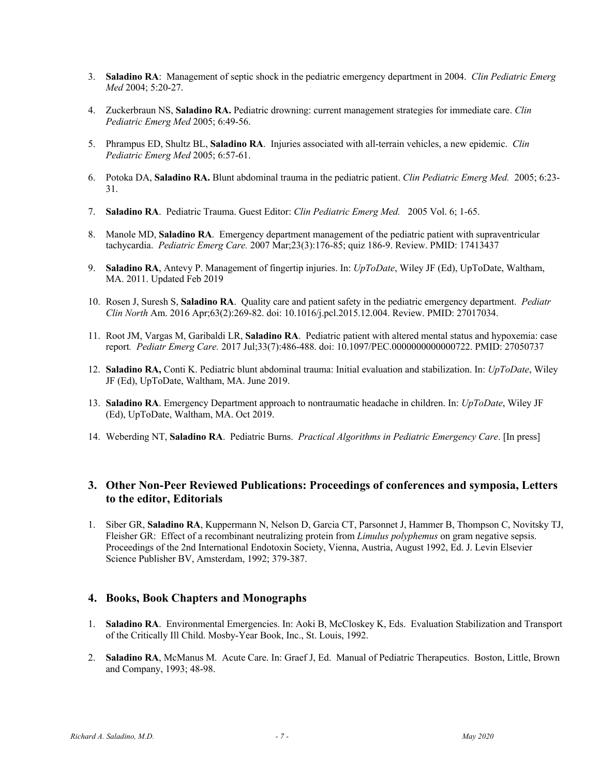- 3. **Saladino RA**: Management of septic shock in the pediatric emergency department in 2004. *Clin Pediatric Emerg Med* 2004; 5:20-27.
- 4. Zuckerbraun NS, **Saladino RA.** Pediatric drowning: current management strategies for immediate care. *Clin Pediatric Emerg Med* 2005; 6:49-56.
- 5. Phrampus ED, Shultz BL, **Saladino RA**. Injuries associated with all-terrain vehicles, a new epidemic. *Clin Pediatric Emerg Med* 2005; 6:57-61.
- 6. Potoka DA, **Saladino RA.** Blunt abdominal trauma in the pediatric patient. *Clin Pediatric Emerg Med.* 2005; 6:23- 31.
- 7. **Saladino RA**. Pediatric Trauma. Guest Editor: *Clin Pediatric Emerg Med.* 2005 Vol. 6; 1-65.
- 8. Manole MD, **Saladino RA**. Emergency department management of the pediatric patient with supraventricular tachycardia. *Pediatric Emerg Care.* 2007 Mar;23(3):176-85; quiz 186-9. Review. PMID: 17413437
- 9. **Saladino RA**, Antevy P. Management of fingertip injuries. In: *UpToDate*, Wiley JF (Ed), UpToDate, Waltham, MA. 2011. Updated Feb 2019
- 10. Rosen J, Suresh S, **Saladino RA**. Quality care and patient safety in the pediatric emergency department. *Pediatr Clin North* Am. 2016 Apr;63(2):269-82. doi: 10.1016/j.pcl.2015.12.004. Review. PMID: 27017034.
- 11. Root JM, Vargas M, Garibaldi LR, **Saladino RA**. Pediatric patient with altered mental status and hypoxemia: case report*. Pediatr Emerg Care.* 2017 Jul;33(7):486-488. doi: 10.1097/PEC.0000000000000722. PMID: 27050737
- 12. **Saladino RA,** Conti K. Pediatric blunt abdominal trauma: Initial evaluation and stabilization. In: *UpToDate*, Wiley JF (Ed), UpToDate, Waltham, MA. June 2019.
- 13. **Saladino RA**. Emergency Department approach to nontraumatic headache in children. In: *UpToDate*, Wiley JF (Ed), UpToDate, Waltham, MA. Oct 2019.
- 14. Weberding NT, **Saladino RA**. Pediatric Burns. *Practical Algorithms in Pediatric Emergency Care*. [In press]

# **3. Other Non-Peer Reviewed Publications: Proceedings of conferences and symposia, Letters to the editor, Editorials**

1. Siber GR, **Saladino RA**, Kuppermann N, Nelson D, Garcia CT, Parsonnet J, Hammer B, Thompson C, Novitsky TJ, Fleisher GR: Effect of a recombinant neutralizing protein from *Limulus polyphemus* on gram negative sepsis. Proceedings of the 2nd International Endotoxin Society, Vienna, Austria, August 1992, Ed. J. Levin Elsevier Science Publisher BV, Amsterdam, 1992; 379-387.

# **4. Books, Book Chapters and Monographs**

- 1. **Saladino RA**. Environmental Emergencies. In: Aoki B, McCloskey K, Eds. Evaluation Stabilization and Transport of the Critically Ill Child. Mosby-Year Book, Inc., St. Louis, 1992.
- 2. **Saladino RA**, McManus M. Acute Care. In: Graef J, Ed. Manual of Pediatric Therapeutics. Boston, Little, Brown and Company, 1993; 48-98.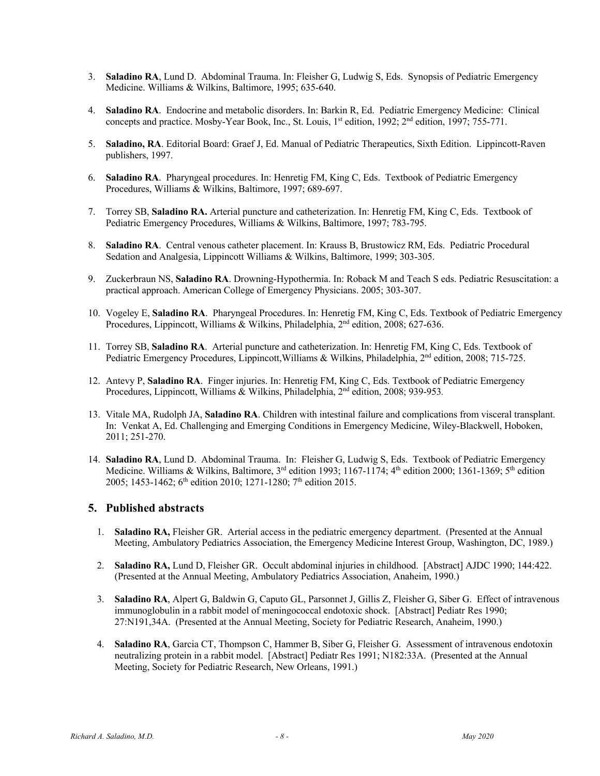- 3. **Saladino RA**, Lund D. Abdominal Trauma. In: Fleisher G, Ludwig S, Eds. Synopsis of Pediatric Emergency Medicine. Williams & Wilkins, Baltimore, 1995; 635-640.
- 4. **Saladino RA**. Endocrine and metabolic disorders. In: Barkin R, Ed. Pediatric Emergency Medicine: Clinical concepts and practice. Mosby-Year Book, Inc., St. Louis, 1<sup>st</sup> edition, 1992; 2<sup>nd</sup> edition, 1997; 755-771.
- 5. **Saladino, RA**. Editorial Board: Graef J, Ed. Manual of Pediatric Therapeutics, Sixth Edition. Lippincott-Raven publishers, 1997.
- 6. **Saladino RA**. Pharyngeal procedures. In: Henretig FM, King C, Eds. Textbook of Pediatric Emergency Procedures, Williams & Wilkins, Baltimore, 1997; 689-697.
- 7. Torrey SB, **Saladino RA.** Arterial puncture and catheterization. In: Henretig FM, King C, Eds. Textbook of Pediatric Emergency Procedures, Williams & Wilkins, Baltimore, 1997; 783-795.
- 8. **Saladino RA**. Central venous catheter placement. In: Krauss B, Brustowicz RM, Eds. Pediatric Procedural Sedation and Analgesia, Lippincott Williams & Wilkins, Baltimore, 1999; 303-305.
- 9. Zuckerbraun NS, **Saladino RA**. Drowning-Hypothermia. In: Roback M and Teach S eds. Pediatric Resuscitation: a practical approach. American College of Emergency Physicians. 2005; 303-307.
- 10. Vogeley E, **Saladino RA**. Pharyngeal Procedures. In: Henretig FM, King C, Eds. Textbook of Pediatric Emergency Procedures, Lippincott, Williams & Wilkins, Philadelphia, 2<sup>nd</sup> edition, 2008; 627-636.
- 11. Torrey SB, **Saladino RA**. Arterial puncture and catheterization. In: Henretig FM, King C, Eds. Textbook of Pediatric Emergency Procedures, Lippincott, Williams & Wilkins, Philadelphia, 2<sup>nd</sup> edition, 2008; 715-725.
- 12. Antevy P, **Saladino RA**. Finger injuries. In: Henretig FM, King C, Eds. Textbook of Pediatric Emergency Procedures, Lippincott, Williams & Wilkins, Philadelphia, 2nd edition, 2008; 939-953*.*
- 13. Vitale MA, Rudolph JA, **Saladino RA**. Children with intestinal failure and complications from visceral transplant. In: Venkat A, Ed. Challenging and Emerging Conditions in Emergency Medicine, Wiley-Blackwell, Hoboken, 2011; 251-270.
- 14. **Saladino RA**, Lund D. Abdominal Trauma. In: Fleisher G, Ludwig S, Eds. Textbook of Pediatric Emergency Medicine. Williams & Wilkins, Baltimore, 3<sup>rd</sup> edition 1993; 1167-1174; 4<sup>th</sup> edition 2000; 1361-1369; 5<sup>th</sup> edition 2005; 1453-1462; 6<sup>th</sup> edition 2010; 1271-1280; 7<sup>th</sup> edition 2015.

# **5. Published abstracts**

- 1. **Saladino RA,** Fleisher GR. Arterial access in the pediatric emergency department. (Presented at the Annual Meeting, Ambulatory Pediatrics Association, the Emergency Medicine Interest Group, Washington, DC, 1989.)
- 2. **Saladino RA,** Lund D, Fleisher GR. Occult abdominal injuries in childhood. [Abstract] AJDC 1990; 144:422. (Presented at the Annual Meeting, Ambulatory Pediatrics Association, Anaheim, 1990.)
- 3. **Saladino RA**, Alpert G, Baldwin G, Caputo GL, Parsonnet J, Gillis Z, Fleisher G, Siber G. Effect of intravenous immunoglobulin in a rabbit model of meningococcal endotoxic shock. [Abstract] Pediatr Res 1990; 27:N191,34A. (Presented at the Annual Meeting, Society for Pediatric Research, Anaheim, 1990.)
- 4. **Saladino RA**, Garcia CT, Thompson C, Hammer B, Siber G, Fleisher G. Assessment of intravenous endotoxin neutralizing protein in a rabbit model. [Abstract] Pediatr Res 1991; N182:33A. (Presented at the Annual Meeting, Society for Pediatric Research, New Orleans, 1991.)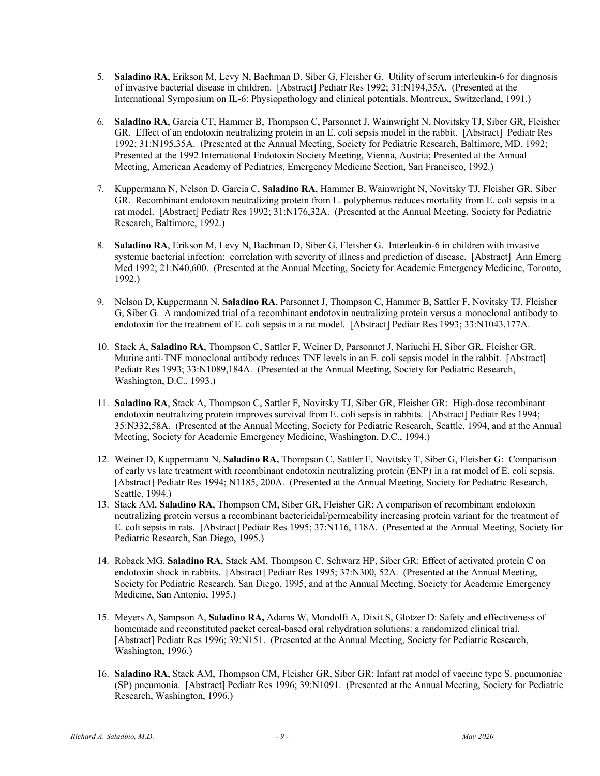- 5. **Saladino RA**, Erikson M, Levy N, Bachman D, Siber G, Fleisher G. Utility of serum interleukin-6 for diagnosis of invasive bacterial disease in children. [Abstract] Pediatr Res 1992; 31:N194,35A. (Presented at the International Symposium on IL-6: Physiopathology and clinical potentials, Montreux, Switzerland, 1991.)
- 6. **Saladino RA**, Garcia CT, Hammer B, Thompson C, Parsonnet J, Wainwright N, Novitsky TJ, Siber GR, Fleisher GR. Effect of an endotoxin neutralizing protein in an E. coli sepsis model in the rabbit. [Abstract] Pediatr Res 1992; 31:N195,35A. (Presented at the Annual Meeting, Society for Pediatric Research, Baltimore, MD, 1992; Presented at the 1992 International Endotoxin Society Meeting, Vienna, Austria; Presented at the Annual Meeting, American Academy of Pediatrics, Emergency Medicine Section, San Francisco, 1992.)
- 7. Kuppermann N, Nelson D, Garcia C, **Saladino RA**, Hammer B, Wainwright N, Novitsky TJ, Fleisher GR, Siber GR. Recombinant endotoxin neutralizing protein from L. polyphemus reduces mortality from E. coli sepsis in a rat model. [Abstract] Pediatr Res 1992; 31:N176,32A. (Presented at the Annual Meeting, Society for Pediatric Research, Baltimore, 1992.)
- 8. **Saladino RA**, Erikson M, Levy N, Bachman D, Siber G, Fleisher G. Interleukin-6 in children with invasive systemic bacterial infection: correlation with severity of illness and prediction of disease. [Abstract] Ann Emerg Med 1992; 21:N40,600. (Presented at the Annual Meeting, Society for Academic Emergency Medicine, Toronto, 1992.)
- 9. Nelson D, Kuppermann N, **Saladino RA**, Parsonnet J, Thompson C, Hammer B, Sattler F, Novitsky TJ, Fleisher G, Siber G. A randomized trial of a recombinant endotoxin neutralizing protein versus a monoclonal antibody to endotoxin for the treatment of E. coli sepsis in a rat model. [Abstract] Pediatr Res 1993; 33:N1043,177A.
- 10. Stack A, **Saladino RA**, Thompson C, Sattler F, Weiner D, Parsonnet J, Nariuchi H, Siber GR, Fleisher GR. Murine anti-TNF monoclonal antibody reduces TNF levels in an E. coli sepsis model in the rabbit. [Abstract] Pediatr Res 1993; 33:N1089,184A. (Presented at the Annual Meeting, Society for Pediatric Research, Washington, D.C., 1993.)
- 11. **Saladino RA**, Stack A, Thompson C, Sattler F, Novitsky TJ, Siber GR, Fleisher GR: High-dose recombinant endotoxin neutralizing protein improves survival from E. coli sepsis in rabbits. [Abstract] Pediatr Res 1994; 35:N332,58A. (Presented at the Annual Meeting, Society for Pediatric Research, Seattle, 1994, and at the Annual Meeting, Society for Academic Emergency Medicine, Washington, D.C., 1994.)
- 12. Weiner D, Kuppermann N, **Saladino RA,** Thompson C, Sattler F, Novitsky T, Siber G, Fleisher G: Comparison of early vs late treatment with recombinant endotoxin neutralizing protein (ENP) in a rat model of E. coli sepsis. [Abstract] Pediatr Res 1994; N1185, 200A. (Presented at the Annual Meeting, Society for Pediatric Research, Seattle, 1994.)
- 13. Stack AM, **Saladino RA**, Thompson CM, Siber GR, Fleisher GR: A comparison of recombinant endotoxin neutralizing protein versus a recombinant bactericidal/permeability increasing protein variant for the treatment of E. coli sepsis in rats. [Abstract] Pediatr Res 1995; 37:N116, 118A. (Presented at the Annual Meeting, Society for Pediatric Research, San Diego, 1995.)
- 14. Roback MG, **Saladino RA**, Stack AM, Thompson C, Schwarz HP, Siber GR: Effect of activated protein C on endotoxin shock in rabbits. [Abstract] Pediatr Res 1995; 37:N300, 52A. (Presented at the Annual Meeting, Society for Pediatric Research, San Diego, 1995, and at the Annual Meeting, Society for Academic Emergency Medicine, San Antonio, 1995.)
- 15. Meyers A, Sampson A, **Saladino RA,** Adams W, Mondolfi A, Dixit S, Glotzer D: Safety and effectiveness of homemade and reconstituted packet cereal-based oral rehydration solutions: a randomized clinical trial. [Abstract] Pediatr Res 1996; 39:N151. (Presented at the Annual Meeting, Society for Pediatric Research, Washington, 1996.)
- 16. **Saladino RA**, Stack AM, Thompson CM, Fleisher GR, Siber GR: Infant rat model of vaccine type S. pneumoniae (SP) pneumonia. [Abstract] Pediatr Res 1996; 39:N1091. (Presented at the Annual Meeting, Society for Pediatric Research, Washington, 1996.)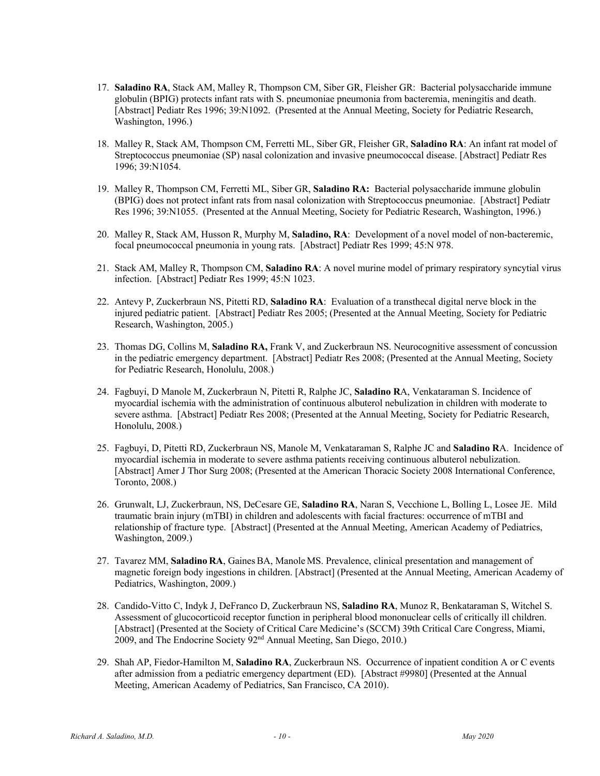- 17. **Saladino RA**, Stack AM, Malley R, Thompson CM, Siber GR, Fleisher GR: Bacterial polysaccharide immune globulin (BPIG) protects infant rats with S. pneumoniae pneumonia from bacteremia, meningitis and death. [Abstract] Pediatr Res 1996; 39:N1092. (Presented at the Annual Meeting, Society for Pediatric Research, Washington, 1996.)
- 18. Malley R, Stack AM, Thompson CM, Ferretti ML, Siber GR, Fleisher GR, **Saladino RA**: An infant rat model of Streptococcus pneumoniae (SP) nasal colonization and invasive pneumococcal disease. [Abstract] Pediatr Res 1996; 39:N1054.
- 19. Malley R, Thompson CM, Ferretti ML, Siber GR, **Saladino RA:** Bacterial polysaccharide immune globulin (BPIG) does not protect infant rats from nasal colonization with Streptococcus pneumoniae. [Abstract] Pediatr Res 1996; 39:N1055. (Presented at the Annual Meeting, Society for Pediatric Research, Washington, 1996.)
- 20. Malley R, Stack AM, Husson R, Murphy M, **Saladino, RA**: Development of a novel model of non-bacteremic, focal pneumococcal pneumonia in young rats. [Abstract] Pediatr Res 1999; 45:N 978.
- 21. Stack AM, Malley R, Thompson CM, **Saladino RA**: A novel murine model of primary respiratory syncytial virus infection. [Abstract] Pediatr Res 1999; 45:N 1023.
- 22. Antevy P, Zuckerbraun NS, Pitetti RD, **Saladino RA**: Evaluation of a transthecal digital nerve block in the injured pediatric patient. [Abstract] Pediatr Res 2005; (Presented at the Annual Meeting, Society for Pediatric Research, Washington, 2005.)
- 23. Thomas DG, Collins M, **Saladino RA,** Frank V, and Zuckerbraun NS. Neurocognitive assessment of concussion in the pediatric emergency department. [Abstract] Pediatr Res 2008; (Presented at the Annual Meeting, Society for Pediatric Research, Honolulu, 2008.)
- 24. Fagbuyi, D Manole M, Zuckerbraun N, Pitetti R, Ralphe JC, **Saladino R**A, Venkataraman S. Incidence of myocardial ischemia with the administration of continuous albuterol nebulization in children with moderate to severe asthma. [Abstract] Pediatr Res 2008; (Presented at the Annual Meeting, Society for Pediatric Research, Honolulu, 2008.)
- 25. Fagbuyi, D, Pitetti RD, Zuckerbraun NS, Manole M, Venkataraman S, Ralphe JC and **Saladino R**A. Incidence of myocardial ischemia in moderate to severe asthma patients receiving continuous albuterol nebulization. [Abstract] Amer J Thor Surg 2008; (Presented at the American Thoracic Society 2008 International Conference, Toronto, 2008.)
- 26. Grunwalt, LJ, Zuckerbraun, NS, DeCesare GE, **Saladino RA**, Naran S, Vecchione L, Bolling L, Losee JE. Mild traumatic brain injury (mTBI) in children and adolescents with facial fractures: occurrence of mTBI and relationship of fracture type. [Abstract] (Presented at the Annual Meeting, American Academy of Pediatrics, Washington, 2009.)
- 27. Tavarez MM, **Saladino RA**, GainesBA, Manole MS. Prevalence, clinical presentation and management of magnetic foreign body ingestions in children. [Abstract] (Presented at the Annual Meeting, American Academy of Pediatrics, Washington, 2009.)
- 28. Candido-Vitto C, Indyk J, DeFranco D, Zuckerbraun NS, **Saladino RA**, Munoz R, Benkataraman S, Witchel S. Assessment of glucocorticoid receptor function in peripheral blood mononuclear cells of critically ill children. [Abstract] (Presented at the Society of Critical Care Medicine's (SCCM) 39th Critical Care Congress, Miami, 2009, and The Endocrine Society 92nd Annual Meeting, San Diego, 2010.)
- 29. Shah AP, Fiedor-Hamilton M, **Saladino RA**, Zuckerbraun NS. Occurrence of inpatient condition A or C events after admission from a pediatric emergency department (ED). [Abstract #9980] (Presented at the Annual Meeting, American Academy of Pediatrics, San Francisco, CA 2010).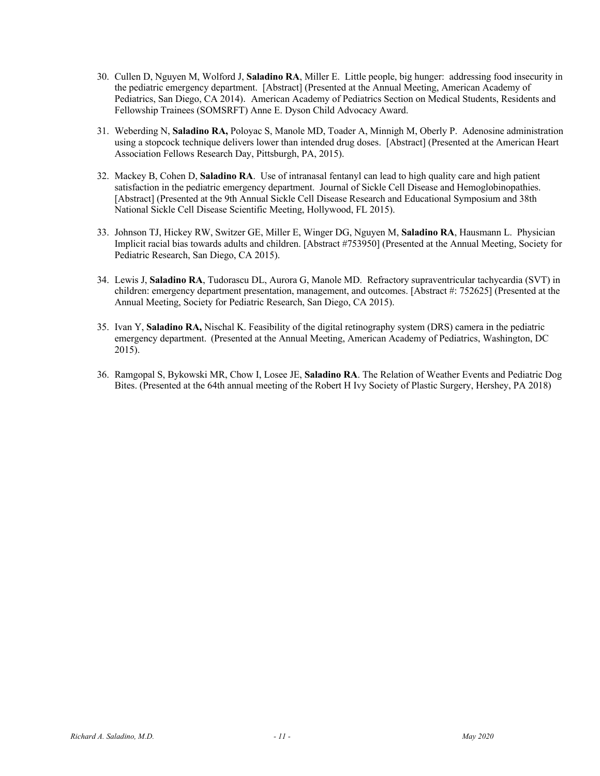- 30. Cullen D, Nguyen M, Wolford J, **Saladino RA**, Miller E. Little people, big hunger: addressing food insecurity in the pediatric emergency department. [Abstract] (Presented at the Annual Meeting, American Academy of Pediatrics, San Diego, CA 2014). American Academy of Pediatrics Section on Medical Students, Residents and Fellowship Trainees (SOMSRFT) Anne E. Dyson Child Advocacy Award.
- 31. Weberding N, **Saladino RA,** Poloyac S, Manole MD, Toader A, Minnigh M, Oberly P. Adenosine administration using a stopcock technique delivers lower than intended drug doses. [Abstract] (Presented at the American Heart Association Fellows Research Day, Pittsburgh, PA, 2015).
- 32. Mackey B, Cohen D, **Saladino RA**. Use of intranasal fentanyl can lead to high quality care and high patient satisfaction in the pediatric emergency department. Journal of Sickle Cell Disease and Hemoglobinopathies. [Abstract] (Presented at the 9th Annual Sickle Cell Disease Research and Educational Symposium and 38th National Sickle Cell Disease Scientific Meeting, Hollywood, FL 2015).
- 33. Johnson TJ, Hickey RW, Switzer GE, Miller E, Winger DG, Nguyen M, **Saladino RA**, Hausmann L. Physician Implicit racial bias towards adults and children. [Abstract #753950] (Presented at the Annual Meeting, Society for Pediatric Research, San Diego, CA 2015).
- 34. Lewis J, **Saladino RA**, Tudorascu DL, Aurora G, Manole MD. Refractory supraventricular tachycardia (SVT) in children: emergency department presentation, management, and outcomes. [Abstract #: 752625] (Presented at the Annual Meeting, Society for Pediatric Research, San Diego, CA 2015).
- 35. Ivan Y, **Saladino RA,** Nischal K. Feasibility of the digital retinography system (DRS) camera in the pediatric emergency department. (Presented at the Annual Meeting, American Academy of Pediatrics, Washington, DC 2015).
- 36. Ramgopal S, Bykowski MR, Chow I, Losee JE, **Saladino RA**. The Relation of Weather Events and Pediatric Dog Bites. (Presented at the 64th annual meeting of the Robert H Ivy Society of Plastic Surgery, Hershey, PA 2018)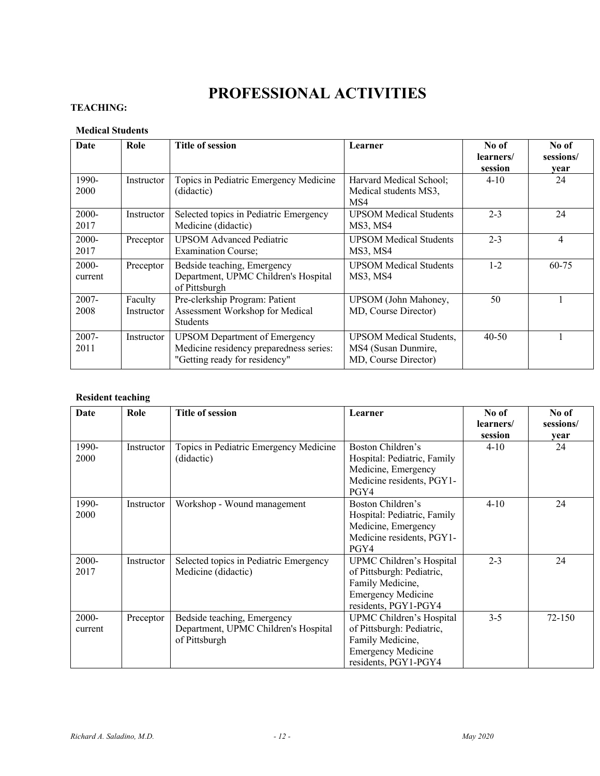# **PROFESSIONAL ACTIVITIES**

# **TEACHING:**

# **Medical Students**

| Date                | Role                  | <b>Title of session</b>                                                                                          | Learner                                                                       | No of<br>learners/<br>session | No of<br>sessions/<br>year |
|---------------------|-----------------------|------------------------------------------------------------------------------------------------------------------|-------------------------------------------------------------------------------|-------------------------------|----------------------------|
| 1990-<br>2000       | Instructor            | Topics in Pediatric Emergency Medicine<br>(didactic)                                                             | Harvard Medical School;<br>Medical students MS3,<br>MS4                       | $4 - 10$                      | 24                         |
| $2000 -$<br>2017    | Instructor            | Selected topics in Pediatric Emergency<br>Medicine (didactic)                                                    | <b>UPSOM Medical Students</b><br>MS3, MS4                                     | $2 - 3$                       | 24                         |
| 2000-<br>2017       | Preceptor             | <b>UPSOM Advanced Pediatric</b><br><b>Examination Course:</b>                                                    | <b>UPSOM Medical Students</b><br>MS3, MS4                                     | $2 - 3$                       | 4                          |
| $2000 -$<br>current | Preceptor             | Bedside teaching, Emergency<br>Department, UPMC Children's Hospital<br>of Pittsburgh                             | <b>UPSOM Medical Students</b><br>MS3, MS4                                     | $1 - 2$                       | 60-75                      |
| $2007 -$<br>2008    | Faculty<br>Instructor | Pre-clerkship Program: Patient<br>Assessment Workshop for Medical<br><b>Students</b>                             | UPSOM (John Mahoney,<br>MD, Course Director)                                  | 50                            |                            |
| $2007 -$<br>2011    | Instructor            | <b>UPSOM Department of Emergency</b><br>Medicine residency preparedness series:<br>"Getting ready for residency" | <b>UPSOM</b> Medical Students,<br>MS4 (Susan Dunmire,<br>MD, Course Director) | $40 - 50$                     |                            |

# **Resident teaching**

| Date             | Role       | <b>Title of session</b>                                                              | Learner                                                                                                                        | No of                | No of      |
|------------------|------------|--------------------------------------------------------------------------------------|--------------------------------------------------------------------------------------------------------------------------------|----------------------|------------|
|                  |            |                                                                                      |                                                                                                                                | learners/<br>session | sessions/  |
| 1990-<br>2000    | Instructor | Topics in Pediatric Emergency Medicine<br>(didactic)                                 | Boston Children's<br>Hospital: Pediatric, Family<br>Medicine, Emergency<br>Medicine residents, PGY1-<br>PGY4                   | $4 - 10$             | year<br>24 |
| 1990-<br>2000    | Instructor | Workshop - Wound management                                                          | Boston Children's<br>Hospital: Pediatric, Family<br>Medicine, Emergency<br>Medicine residents, PGY1-<br>PGY4                   | $4 - 10$             | 24         |
| 2000-<br>2017    | Instructor | Selected topics in Pediatric Emergency<br>Medicine (didactic)                        | UPMC Children's Hospital<br>of Pittsburgh: Pediatric,<br>Family Medicine,<br><b>Emergency Medicine</b><br>residents, PGY1-PGY4 | $2 - 3$              | 24         |
| 2000-<br>current | Preceptor  | Bedside teaching, Emergency<br>Department, UPMC Children's Hospital<br>of Pittsburgh | UPMC Children's Hospital<br>of Pittsburgh: Pediatric,<br>Family Medicine,<br><b>Emergency Medicine</b><br>residents, PGY1-PGY4 | $3 - 5$              | 72-150     |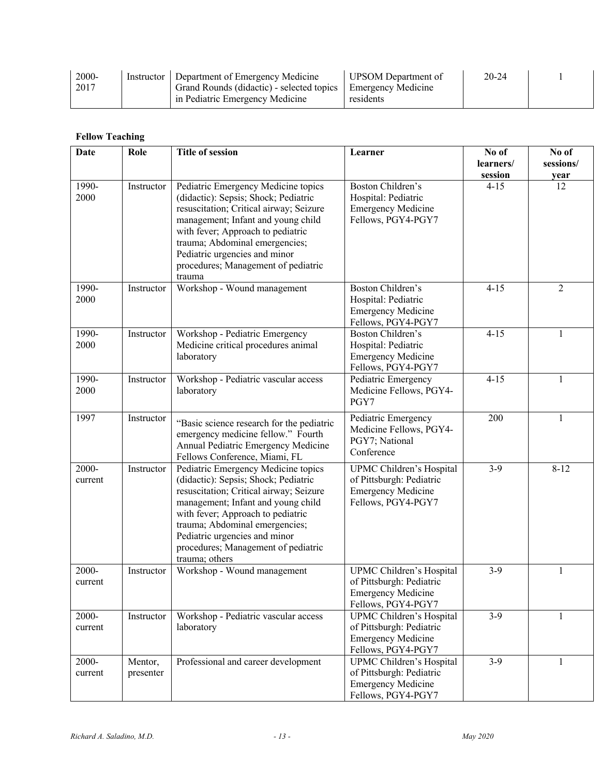| 2000-<br>2017 | Instructor   Department of Emergency Medicine<br>Grand Rounds (didactic) - selected topics   Emergency Medicine | UPSOM Department of | $20 - 24$ |  |
|---------------|-----------------------------------------------------------------------------------------------------------------|---------------------|-----------|--|
|               | in Pediatric Emergency Medicine                                                                                 | residents           |           |  |

# **Fellow Teaching**

| <b>Date</b>      | Role                 | <b>Title of session</b>                                                                                                                                                                                                                                                                                                       | Learner                                                                                                 | No of     | No of          |
|------------------|----------------------|-------------------------------------------------------------------------------------------------------------------------------------------------------------------------------------------------------------------------------------------------------------------------------------------------------------------------------|---------------------------------------------------------------------------------------------------------|-----------|----------------|
|                  |                      |                                                                                                                                                                                                                                                                                                                               |                                                                                                         | learners/ | sessions/      |
|                  |                      |                                                                                                                                                                                                                                                                                                                               |                                                                                                         | session   | year           |
| 1990-<br>2000    | Instructor           | Pediatric Emergency Medicine topics<br>(didactic): Sepsis; Shock; Pediatric<br>resuscitation; Critical airway; Seizure<br>management; Infant and young child<br>with fever; Approach to pediatric<br>trauma; Abdominal emergencies;<br>Pediatric urgencies and minor<br>procedures; Management of pediatric<br>trauma         | Boston Children's<br>Hospital: Pediatric<br><b>Emergency Medicine</b><br>Fellows, PGY4-PGY7             | $4 - 15$  | 12             |
| 1990-<br>2000    | Instructor           | Workshop - Wound management                                                                                                                                                                                                                                                                                                   | Boston Children's<br>Hospital: Pediatric<br><b>Emergency Medicine</b><br>Fellows, PGY4-PGY7             | $4 - 15$  | $\overline{2}$ |
| 1990-<br>2000    | Instructor           | Workshop - Pediatric Emergency<br>Medicine critical procedures animal<br>laboratory                                                                                                                                                                                                                                           | Boston Children's<br>Hospital: Pediatric<br><b>Emergency Medicine</b><br>Fellows, PGY4-PGY7             | $4 - 15$  | 1              |
| 1990-<br>2000    | Instructor           | Workshop - Pediatric vascular access<br>laboratory                                                                                                                                                                                                                                                                            | Pediatric Emergency<br>Medicine Fellows, PGY4-<br>PGY7                                                  | $4 - 15$  | 1              |
| 1997             | Instructor           | "Basic science research for the pediatric<br>emergency medicine fellow." Fourth<br>Annual Pediatric Emergency Medicine<br>Fellows Conference, Miami, FL                                                                                                                                                                       | Pediatric Emergency<br>Medicine Fellows, PGY4-<br>PGY7; National<br>Conference                          | 200       | 1              |
| 2000-<br>current | Instructor           | Pediatric Emergency Medicine topics<br>(didactic): Sepsis; Shock; Pediatric<br>resuscitation; Critical airway; Seizure<br>management; Infant and young child<br>with fever; Approach to pediatric<br>trauma; Abdominal emergencies;<br>Pediatric urgencies and minor<br>procedures; Management of pediatric<br>trauma; others | UPMC Children's Hospital<br>of Pittsburgh: Pediatric<br><b>Emergency Medicine</b><br>Fellows, PGY4-PGY7 | $3-9$     | $8 - 12$       |
| 2000-<br>current | Instructor           | Workshop - Wound management                                                                                                                                                                                                                                                                                                   | UPMC Children's Hospital<br>of Pittsburgh: Pediatric<br><b>Emergency Medicine</b><br>Fellows, PGY4-PGY7 | $3-9$     | 1              |
| 2000-<br>current | Instructor           | Workshop - Pediatric vascular access<br>laboratory                                                                                                                                                                                                                                                                            | UPMC Children's Hospital<br>of Pittsburgh: Pediatric<br><b>Emergency Medicine</b><br>Fellows, PGY4-PGY7 | $3-9$     | $\mathbf{1}$   |
| 2000-<br>current | Mentor,<br>presenter | Professional and career development                                                                                                                                                                                                                                                                                           | UPMC Children's Hospital<br>of Pittsburgh: Pediatric<br><b>Emergency Medicine</b><br>Fellows, PGY4-PGY7 | $3-9$     | 1              |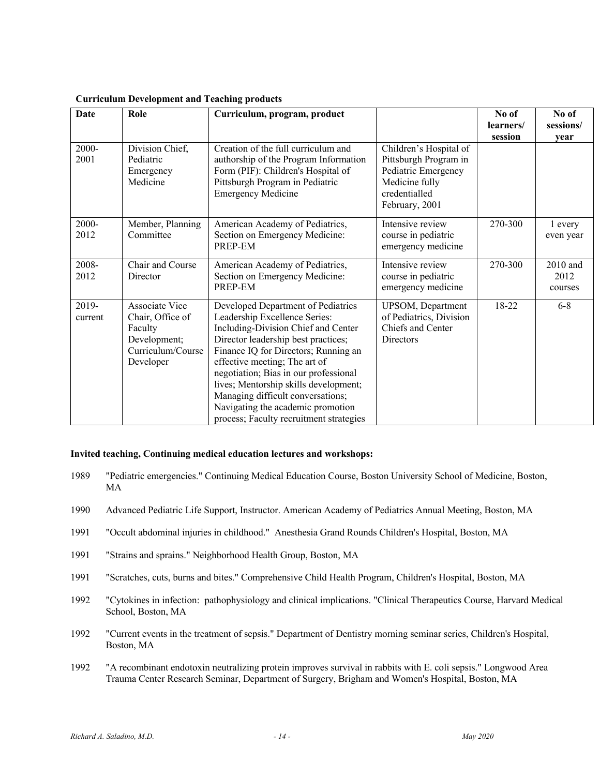| Date             | Role                                                                                                   | Curriculum, program, product                                                                                                                                                                                                                                                                                                                                                                                                      |                                                                                                                             | No of     | No of                       |
|------------------|--------------------------------------------------------------------------------------------------------|-----------------------------------------------------------------------------------------------------------------------------------------------------------------------------------------------------------------------------------------------------------------------------------------------------------------------------------------------------------------------------------------------------------------------------------|-----------------------------------------------------------------------------------------------------------------------------|-----------|-----------------------------|
|                  |                                                                                                        |                                                                                                                                                                                                                                                                                                                                                                                                                                   |                                                                                                                             | learners/ | sessions/                   |
|                  |                                                                                                        |                                                                                                                                                                                                                                                                                                                                                                                                                                   |                                                                                                                             | session   | year                        |
| 2000-<br>2001    | Division Chief,<br>Pediatric<br>Emergency<br>Medicine                                                  | Creation of the full curriculum and<br>authorship of the Program Information<br>Form (PIF): Children's Hospital of<br>Pittsburgh Program in Pediatric<br><b>Emergency Medicine</b>                                                                                                                                                                                                                                                | Children's Hospital of<br>Pittsburgh Program in<br>Pediatric Emergency<br>Medicine fully<br>credentialled<br>February, 2001 |           |                             |
| 2000-<br>2012    | Member, Planning<br>Committee                                                                          | American Academy of Pediatrics,<br>Section on Emergency Medicine:<br>PREP-EM                                                                                                                                                                                                                                                                                                                                                      | Intensive review<br>course in pediatric<br>emergency medicine                                                               | 270-300   | 1 every<br>even year        |
| 2008-<br>2012    | Chair and Course<br>Director                                                                           | American Academy of Pediatrics,<br>Section on Emergency Medicine:<br>PREP-EM                                                                                                                                                                                                                                                                                                                                                      | Intensive review<br>course in pediatric<br>emergency medicine                                                               | 270-300   | 2010 and<br>2012<br>courses |
| 2019-<br>current | <b>Associate Vice</b><br>Chair, Office of<br>Faculty<br>Development;<br>Curriculum/Course<br>Developer | Developed Department of Pediatrics<br>Leadership Excellence Series:<br>Including-Division Chief and Center<br>Director leadership best practices;<br>Finance IQ for Directors; Running an<br>effective meeting; The art of<br>negotiation; Bias in our professional<br>lives; Mentorship skills development;<br>Managing difficult conversations;<br>Navigating the academic promotion<br>process; Faculty recruitment strategies | UPSOM, Department<br>of Pediatrics, Division<br>Chiefs and Center<br>Directors                                              | 18-22     | $6 - 8$                     |

#### **Curriculum Development and Teaching products**

# **Invited teaching, Continuing medical education lectures and workshops:**

- 1989 "Pediatric emergencies." Continuing Medical Education Course, Boston University School of Medicine, Boston, MA
- 1990 Advanced Pediatric Life Support, Instructor. American Academy of Pediatrics Annual Meeting, Boston, MA
- 1991 "Occult abdominal injuries in childhood." Anesthesia Grand Rounds Children's Hospital, Boston, MA
- 1991 "Strains and sprains." Neighborhood Health Group, Boston, MA
- 1991 "Scratches, cuts, burns and bites." Comprehensive Child Health Program, Children's Hospital, Boston, MA
- 1992 "Cytokines in infection: pathophysiology and clinical implications. "Clinical Therapeutics Course, Harvard Medical School, Boston, MA
- 1992 "Current events in the treatment of sepsis." Department of Dentistry morning seminar series, Children's Hospital, Boston, MA
- 1992 "A recombinant endotoxin neutralizing protein improves survival in rabbits with E. coli sepsis." Longwood Area Trauma Center Research Seminar, Department of Surgery, Brigham and Women's Hospital, Boston, MA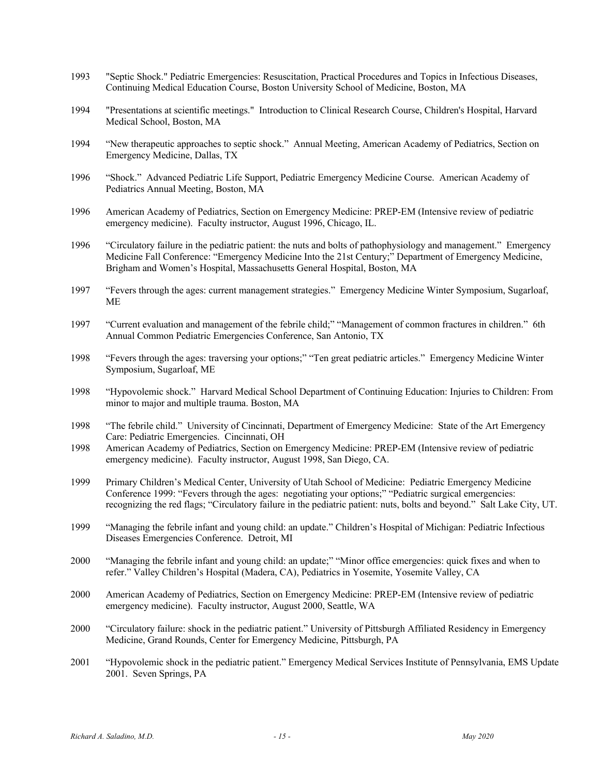- 1993 "Septic Shock." Pediatric Emergencies: Resuscitation, Practical Procedures and Topics in Infectious Diseases, Continuing Medical Education Course, Boston University School of Medicine, Boston, MA
- 1994 "Presentations at scientific meetings." Introduction to Clinical Research Course, Children's Hospital, Harvard Medical School, Boston, MA
- 1994 "New therapeutic approaches to septic shock." Annual Meeting, American Academy of Pediatrics, Section on Emergency Medicine, Dallas, TX
- 1996 "Shock." Advanced Pediatric Life Support, Pediatric Emergency Medicine Course. American Academy of Pediatrics Annual Meeting, Boston, MA
- 1996 American Academy of Pediatrics, Section on Emergency Medicine: PREP-EM (Intensive review of pediatric emergency medicine). Faculty instructor, August 1996, Chicago, IL.
- 1996 "Circulatory failure in the pediatric patient: the nuts and bolts of pathophysiology and management." Emergency Medicine Fall Conference: "Emergency Medicine Into the 21st Century;" Department of Emergency Medicine, Brigham and Women's Hospital, Massachusetts General Hospital, Boston, MA
- 1997 "Fevers through the ages: current management strategies." Emergency Medicine Winter Symposium, Sugarloaf, ME
- 1997 "Current evaluation and management of the febrile child;" "Management of common fractures in children." 6th Annual Common Pediatric Emergencies Conference, San Antonio, TX
- 1998 "Fevers through the ages: traversing your options;" "Ten great pediatric articles." Emergency Medicine Winter Symposium, Sugarloaf, ME
- 1998 "Hypovolemic shock." Harvard Medical School Department of Continuing Education: Injuries to Children: From minor to major and multiple trauma. Boston, MA
- 1998 "The febrile child." University of Cincinnati, Department of Emergency Medicine: State of the Art Emergency Care: Pediatric Emergencies. Cincinnati, OH
- 1998 American Academy of Pediatrics, Section on Emergency Medicine: PREP-EM (Intensive review of pediatric emergency medicine). Faculty instructor, August 1998, San Diego, CA.
- 1999 Primary Children's Medical Center, University of Utah School of Medicine: Pediatric Emergency Medicine Conference 1999: "Fevers through the ages: negotiating your options;" "Pediatric surgical emergencies: recognizing the red flags; "Circulatory failure in the pediatric patient: nuts, bolts and beyond." Salt Lake City, UT.
- 1999 "Managing the febrile infant and young child: an update." Children's Hospital of Michigan: Pediatric Infectious Diseases Emergencies Conference. Detroit, MI
- 2000 "Managing the febrile infant and young child: an update;" "Minor office emergencies: quick fixes and when to refer." Valley Children's Hospital (Madera, CA), Pediatrics in Yosemite, Yosemite Valley, CA
- 2000 American Academy of Pediatrics, Section on Emergency Medicine: PREP-EM (Intensive review of pediatric emergency medicine). Faculty instructor, August 2000, Seattle, WA
- 2000 "Circulatory failure: shock in the pediatric patient." University of Pittsburgh Affiliated Residency in Emergency Medicine, Grand Rounds, Center for Emergency Medicine, Pittsburgh, PA
- 2001 "Hypovolemic shock in the pediatric patient." Emergency Medical Services Institute of Pennsylvania, EMS Update 2001. Seven Springs, PA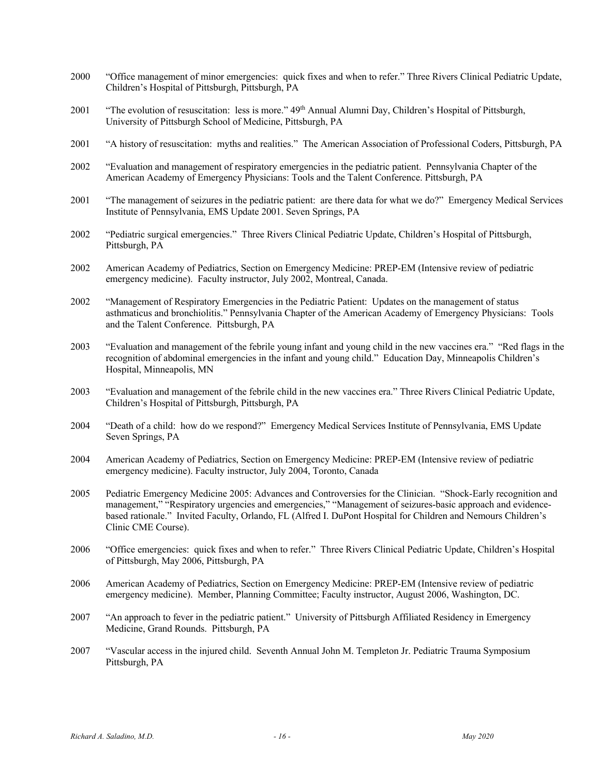- 2000 "Office management of minor emergencies: quick fixes and when to refer." Three Rivers Clinical Pediatric Update, Children's Hospital of Pittsburgh, Pittsburgh, PA
- 2001 "The evolution of resuscitation: less is more." 49<sup>th</sup> Annual Alumni Day, Children's Hospital of Pittsburgh, University of Pittsburgh School of Medicine, Pittsburgh, PA
- 2001 "A history of resuscitation: myths and realities." The American Association of Professional Coders, Pittsburgh, PA
- 2002 "Evaluation and management of respiratory emergencies in the pediatric patient. Pennsylvania Chapter of the American Academy of Emergency Physicians: Tools and the Talent Conference. Pittsburgh, PA
- 2001 "The management of seizures in the pediatric patient: are there data for what we do?" Emergency Medical Services Institute of Pennsylvania, EMS Update 2001. Seven Springs, PA
- 2002 "Pediatric surgical emergencies." Three Rivers Clinical Pediatric Update, Children's Hospital of Pittsburgh, Pittsburgh, PA
- 2002 American Academy of Pediatrics, Section on Emergency Medicine: PREP-EM (Intensive review of pediatric emergency medicine). Faculty instructor, July 2002, Montreal, Canada.
- 2002 "Management of Respiratory Emergencies in the Pediatric Patient: Updates on the management of status asthmaticus and bronchiolitis." Pennsylvania Chapter of the American Academy of Emergency Physicians: Tools and the Talent Conference. Pittsburgh, PA
- 2003 "Evaluation and management of the febrile young infant and young child in the new vaccines era." "Red flags in the recognition of abdominal emergencies in the infant and young child." Education Day, Minneapolis Children's Hospital, Minneapolis, MN
- 2003 "Evaluation and management of the febrile child in the new vaccines era." Three Rivers Clinical Pediatric Update, Children's Hospital of Pittsburgh, Pittsburgh, PA
- 2004 "Death of a child: how do we respond?" Emergency Medical Services Institute of Pennsylvania, EMS Update Seven Springs, PA
- 2004 American Academy of Pediatrics, Section on Emergency Medicine: PREP-EM (Intensive review of pediatric emergency medicine). Faculty instructor, July 2004, Toronto, Canada
- 2005 Pediatric Emergency Medicine 2005: Advances and Controversies for the Clinician. "Shock-Early recognition and management," "Respiratory urgencies and emergencies," "Management of seizures-basic approach and evidencebased rationale." Invited Faculty, Orlando, FL (Alfred I. DuPont Hospital for Children and Nemours Children's Clinic CME Course).
- 2006 "Office emergencies: quick fixes and when to refer." Three Rivers Clinical Pediatric Update, Children's Hospital of Pittsburgh, May 2006, Pittsburgh, PA
- 2006 American Academy of Pediatrics, Section on Emergency Medicine: PREP-EM (Intensive review of pediatric emergency medicine). Member, Planning Committee; Faculty instructor, August 2006, Washington, DC.
- 2007 "An approach to fever in the pediatric patient." University of Pittsburgh Affiliated Residency in Emergency Medicine, Grand Rounds. Pittsburgh, PA
- 2007 "Vascular access in the injured child. Seventh Annual John M. Templeton Jr. Pediatric Trauma Symposium Pittsburgh, PA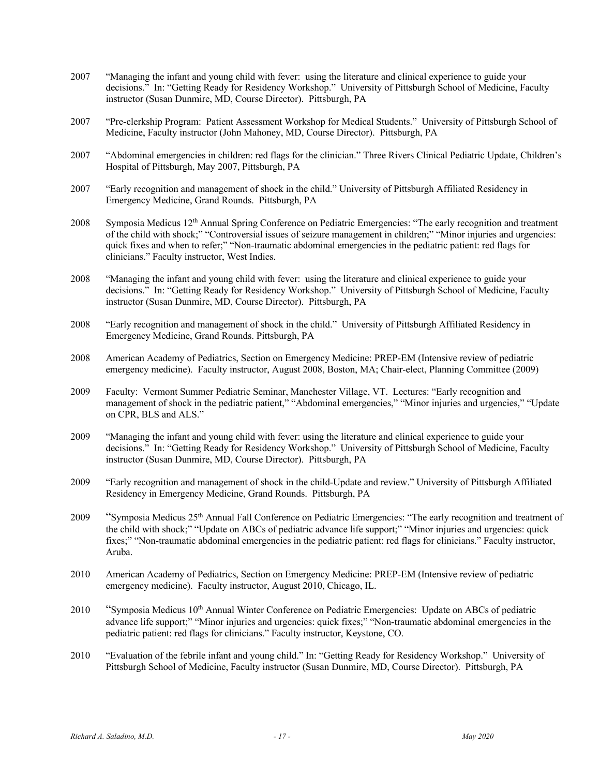- 2007 "Managing the infant and young child with fever: using the literature and clinical experience to guide your decisions." In: "Getting Ready for Residency Workshop." University of Pittsburgh School of Medicine, Faculty instructor (Susan Dunmire, MD, Course Director). Pittsburgh, PA
- 2007 "Pre-clerkship Program: Patient Assessment Workshop for Medical Students." University of Pittsburgh School of Medicine, Faculty instructor (John Mahoney, MD, Course Director). Pittsburgh, PA
- 2007 "Abdominal emergencies in children: red flags for the clinician." Three Rivers Clinical Pediatric Update, Children's Hospital of Pittsburgh, May 2007, Pittsburgh, PA
- 2007 "Early recognition and management of shock in the child." University of Pittsburgh Affiliated Residency in Emergency Medicine, Grand Rounds. Pittsburgh, PA
- 2008 Symposia Medicus 12<sup>th</sup> Annual Spring Conference on Pediatric Emergencies: "The early recognition and treatment of the child with shock;" "Controversial issues of seizure management in children;" "Minor injuries and urgencies: quick fixes and when to refer;" "Non-traumatic abdominal emergencies in the pediatric patient: red flags for clinicians." Faculty instructor, West Indies.
- 2008 "Managing the infant and young child with fever: using the literature and clinical experience to guide your decisions." In: "Getting Ready for Residency Workshop." University of Pittsburgh School of Medicine, Faculty instructor (Susan Dunmire, MD, Course Director). Pittsburgh, PA
- 2008 "Early recognition and management of shock in the child." University of Pittsburgh Affiliated Residency in Emergency Medicine, Grand Rounds. Pittsburgh, PA
- 2008 American Academy of Pediatrics, Section on Emergency Medicine: PREP-EM (Intensive review of pediatric emergency medicine). Faculty instructor, August 2008, Boston, MA; Chair-elect, Planning Committee (2009)
- 2009 Faculty: Vermont Summer Pediatric Seminar, Manchester Village, VT. Lectures: "Early recognition and management of shock in the pediatric patient," "Abdominal emergencies," "Minor injuries and urgencies," "Update on CPR, BLS and ALS."
- 2009 "Managing the infant and young child with fever: using the literature and clinical experience to guide your decisions." In: "Getting Ready for Residency Workshop." University of Pittsburgh School of Medicine, Faculty instructor (Susan Dunmire, MD, Course Director). Pittsburgh, PA
- 2009 "Early recognition and management of shock in the child-Update and review." University of Pittsburgh Affiliated Residency in Emergency Medicine, Grand Rounds. Pittsburgh, PA
- 2009 "Symposia Medicus 25<sup>th</sup> Annual Fall Conference on Pediatric Emergencies: "The early recognition and treatment of the child with shock;" "Update on ABCs of pediatric advance life support;" "Minor injuries and urgencies: quick fixes;" "Non-traumatic abdominal emergencies in the pediatric patient: red flags for clinicians." Faculty instructor, Aruba.
- 2010 American Academy of Pediatrics, Section on Emergency Medicine: PREP-EM (Intensive review of pediatric emergency medicine). Faculty instructor, August 2010, Chicago, IL.
- 2010 "Symposia Medicus 10<sup>th</sup> Annual Winter Conference on Pediatric Emergencies: Update on ABCs of pediatric advance life support;" "Minor injuries and urgencies: quick fixes;" "Non-traumatic abdominal emergencies in the pediatric patient: red flags for clinicians." Faculty instructor, Keystone, CO.
- 2010 "Evaluation of the febrile infant and young child." In: "Getting Ready for Residency Workshop." University of Pittsburgh School of Medicine, Faculty instructor (Susan Dunmire, MD, Course Director). Pittsburgh, PA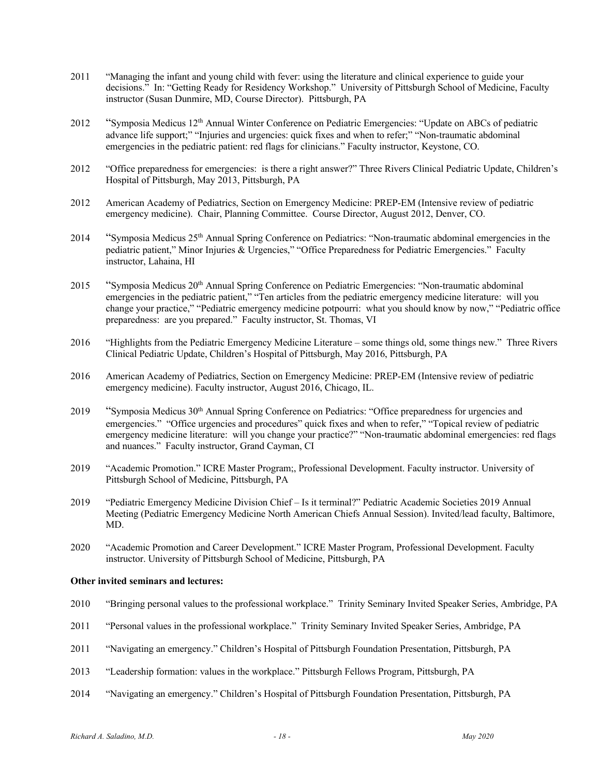- 2011 "Managing the infant and young child with fever: using the literature and clinical experience to guide your decisions." In: "Getting Ready for Residency Workshop." University of Pittsburgh School of Medicine, Faculty instructor (Susan Dunmire, MD, Course Director). Pittsburgh, PA
- 2012 "Symposia Medicus 12th Annual Winter Conference on Pediatric Emergencies: "Update on ABCs of pediatric advance life support;" "Injuries and urgencies: quick fixes and when to refer;" "Non-traumatic abdominal emergencies in the pediatric patient: red flags for clinicians." Faculty instructor, Keystone, CO.
- 2012 "Office preparedness for emergencies: is there a right answer?" Three Rivers Clinical Pediatric Update, Children's Hospital of Pittsburgh, May 2013, Pittsburgh, PA
- 2012 American Academy of Pediatrics, Section on Emergency Medicine: PREP-EM (Intensive review of pediatric emergency medicine). Chair, Planning Committee. Course Director, August 2012, Denver, CO.
- 2014 "Symposia Medicus 25th Annual Spring Conference on Pediatrics: "Non-traumatic abdominal emergencies in the pediatric patient," Minor Injuries & Urgencies," "Office Preparedness for Pediatric Emergencies." Faculty instructor, Lahaina, HI
- 2015 "Symposia Medicus 20<sup>th</sup> Annual Spring Conference on Pediatric Emergencies: "Non-traumatic abdominal" emergencies in the pediatric patient," "Ten articles from the pediatric emergency medicine literature: will you change your practice," "Pediatric emergency medicine potpourri: what you should know by now," "Pediatric office preparedness: are you prepared." Faculty instructor, St. Thomas, VI
- 2016 "Highlights from the Pediatric Emergency Medicine Literature some things old, some things new." Three Rivers Clinical Pediatric Update, Children's Hospital of Pittsburgh, May 2016, Pittsburgh, PA
- 2016 American Academy of Pediatrics, Section on Emergency Medicine: PREP-EM (Intensive review of pediatric emergency medicine). Faculty instructor, August 2016, Chicago, IL.
- $2019$  "Symposia Medicus  $30<sup>th</sup>$  Annual Spring Conference on Pediatrics: "Office preparedness for urgencies and emergencies." "Office urgencies and procedures" quick fixes and when to refer," "Topical review of pediatric emergency medicine literature: will you change your practice?" "Non-traumatic abdominal emergencies: red flags and nuances." Faculty instructor, Grand Cayman, CI
- 2019 "Academic Promotion." ICRE Master Program;, Professional Development. Faculty instructor. University of Pittsburgh School of Medicine, Pittsburgh, PA
- 2019 "Pediatric Emergency Medicine Division Chief Is it terminal?" Pediatric Academic Societies 2019 Annual Meeting (Pediatric Emergency Medicine North American Chiefs Annual Session). Invited/lead faculty, Baltimore, MD.
- 2020 "Academic Promotion and Career Development." ICRE Master Program, Professional Development. Faculty instructor. University of Pittsburgh School of Medicine, Pittsburgh, PA

# **Other invited seminars and lectures:**

- 2010 "Bringing personal values to the professional workplace." Trinity Seminary Invited Speaker Series, Ambridge, PA
- 2011 "Personal values in the professional workplace." Trinity Seminary Invited Speaker Series, Ambridge, PA
- 2011 "Navigating an emergency." Children's Hospital of Pittsburgh Foundation Presentation, Pittsburgh, PA
- 2013 "Leadership formation: values in the workplace." Pittsburgh Fellows Program, Pittsburgh, PA
- 2014 "Navigating an emergency." Children's Hospital of Pittsburgh Foundation Presentation, Pittsburgh, PA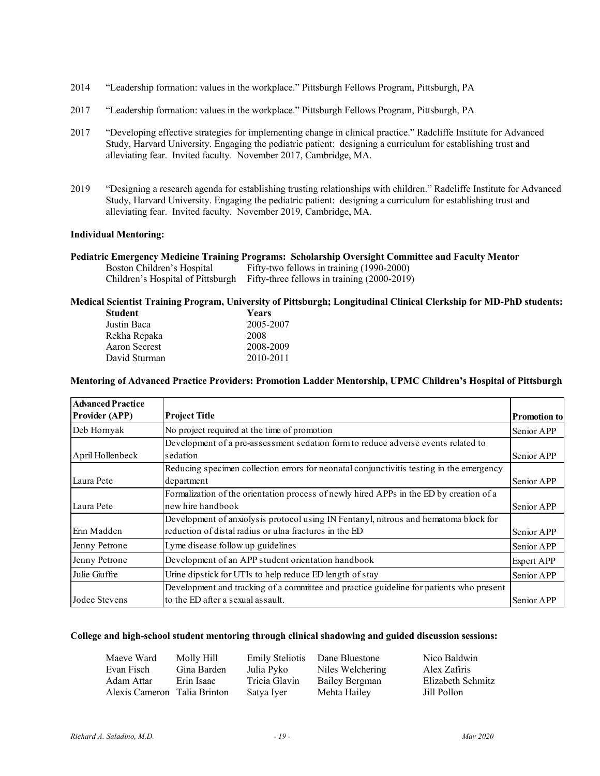- 2014 "Leadership formation: values in the workplace." Pittsburgh Fellows Program, Pittsburgh, PA
- 2017 "Leadership formation: values in the workplace." Pittsburgh Fellows Program, Pittsburgh, PA
- 2017 "Developing effective strategies for implementing change in clinical practice." Radcliffe Institute for Advanced Study, Harvard University. Engaging the pediatric patient: designing a curriculum for establishing trust and alleviating fear. Invited faculty. November 2017, Cambridge, MA.
- 2019 "Designing a research agenda for establishing trusting relationships with children." Radcliffe Institute for Advanced Study, Harvard University. Engaging the pediatric patient: designing a curriculum for establishing trust and alleviating fear. Invited faculty. November 2019, Cambridge, MA.

# **Individual Mentoring:**

|                            | Pediatric Emergency Medicine Training Programs: Scholarship Oversight Committee and Faculty Mentor |
|----------------------------|----------------------------------------------------------------------------------------------------|
| Boston Children's Hospital | Fifty-two fellows in training (1990-2000)                                                          |
|                            | Children's Hospital of Pittsburgh Fifty-three fellows in training (2000-2019)                      |

# **Medical Scientist Training Program, University of Pittsburgh; Longitudinal Clinical Clerkship for MD-PhD students:**

| Student       | Years     |
|---------------|-----------|
| Justin Baca   | 2005-2007 |
| Rekha Repaka  | 2008      |
| Aaron Secrest | 2008-2009 |
| David Sturman | 2010-2011 |
|               |           |

# **Mentoring of Advanced Practice Providers: Promotion Ladder Mentorship, UPMC Children's Hospital of Pittsburgh**

| <b>Advanced Practice</b> |                                                                                          |                     |
|--------------------------|------------------------------------------------------------------------------------------|---------------------|
| <b>Provider (APP)</b>    | <b>Project Title</b>                                                                     | <b>Promotion to</b> |
| Deb Hornyak              | No project required at the time of promotion                                             | Senior APP          |
|                          | Development of a pre-assessment sedation form to reduce adverse events related to        |                     |
| April Hollenbeck         | sedation                                                                                 | Senior APP          |
|                          | Reducing specimen collection errors for neonatal conjunctivitis testing in the emergency |                     |
| Laura Pete               | department                                                                               | Senior APP          |
|                          | Formalization of the orientation process of newly hired APPs in the ED by creation of a  |                     |
| Laura Pete               | new hire handbook                                                                        | Senior APP          |
|                          | Development of anxiolysis protocol using IN Fentanyl, nitrous and hematoma block for     |                     |
| Erin Madden              | reduction of distal radius or ulna fractures in the ED                                   | Senior APP          |
| Jenny Petrone            | Lyme disease follow up guidelines                                                        | Senior APP          |
| Jenny Petrone            | Development of an APP student orientation handbook                                       | Expert APP          |
| Julie Giuffre            | Urine dipstick for UTIs to help reduce ED length of stay                                 | Senior APP          |
|                          | Development and tracking of a committee and practice guideline for patients who present  |                     |
| Jodee Stevens            | to the ED after a sexual assault.                                                        | Senior APP          |

#### **College and high-school student mentoring through clinical shadowing and guided discussion sessions:**

| Maeve Ward                   | Molly Hill  | <b>Emily Steliotis</b> | Dane Bluestone   | Nico Baldwin      |
|------------------------------|-------------|------------------------|------------------|-------------------|
| Evan Fisch                   | Gina Barden | Julia Pyko             | Niles Welchering | Alex Zafiris      |
| Adam Attar                   | Erin Isaac  | Tricia Glavin          | Bailey Bergman   | Elizabeth Schmitz |
| Alexis Cameron Talia Brinton |             | Satya Iyer             | Mehta Hailey     | Jill Pollon       |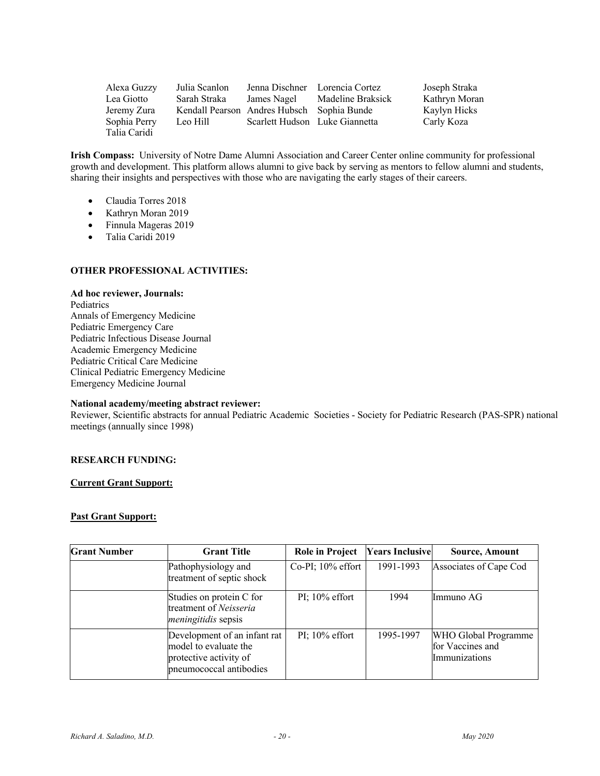| Alexa Guzzy  | Julia Scanlon                              |                                | Jenna Dischner Lorencia Cortez | Joseph Straka |
|--------------|--------------------------------------------|--------------------------------|--------------------------------|---------------|
| Lea Giotto   | Sarah Straka                               | James Nagel                    | Madeline Braksick              | Kathryn Moran |
| Jeremy Zura  | Kendall Pearson Andres Hubsch Sophia Bunde |                                |                                | Kaylyn Hicks  |
| Sophia Perry | Leo Hill                                   | Scarlett Hudson Luke Giannetta |                                | Carly Koza    |
| Talia Caridi |                                            |                                |                                |               |

**Irish Compass:** University of Notre Dame Alumni Association and Career Center online community for professional growth and development. This platform allows alumni to give back by serving as mentors to fellow alumni and students, sharing their insights and perspectives with those who are navigating the early stages of their careers.

- Claudia Torres 2018
- Kathryn Moran 2019
- Finnula Mageras 2019
- Talia Caridi 2019

# **OTHER PROFESSIONAL ACTIVITIES:**

#### **Ad hoc reviewer, Journals:**

Pediatrics Annals of Emergency Medicine Pediatric Emergency Care Pediatric Infectious Disease Journal Academic Emergency Medicine Pediatric Critical Care Medicine Clinical Pediatric Emergency Medicine Emergency Medicine Journal

# **National academy/meeting abstract reviewer:**

Reviewer, Scientific abstracts for annual Pediatric Academic Societies - Society for Pediatric Research (PAS-SPR) national meetings (annually since 1998)

# **RESEARCH FUNDING:**

# **Current Grant Support:**

# **Past Grant Support:**

| <b>Grant Number</b> | <b>Grant Title</b>                                                                                         | <b>Role in Project</b> | <b>Years Inclusive</b> | <b>Source, Amount</b>                                     |
|---------------------|------------------------------------------------------------------------------------------------------------|------------------------|------------------------|-----------------------------------------------------------|
|                     | Pathophysiology and<br>treatment of septic shock                                                           | $Co-PI$ ; 10% effort   | 1991-1993              | Associates of Cape Cod                                    |
|                     | Studies on protein C for<br>treatment of Neisseria<br><i>meningitidis</i> sepsis                           | PI; $10\%$ effort      | 1994                   | Immuno AG                                                 |
|                     | Development of an infant rat<br>model to evaluate the<br>protective activity of<br>pneumococcal antibodies | PI; $10\%$ effort      | 1995-1997              | WHO Global Programme<br>for Vaccines and<br>Immunizations |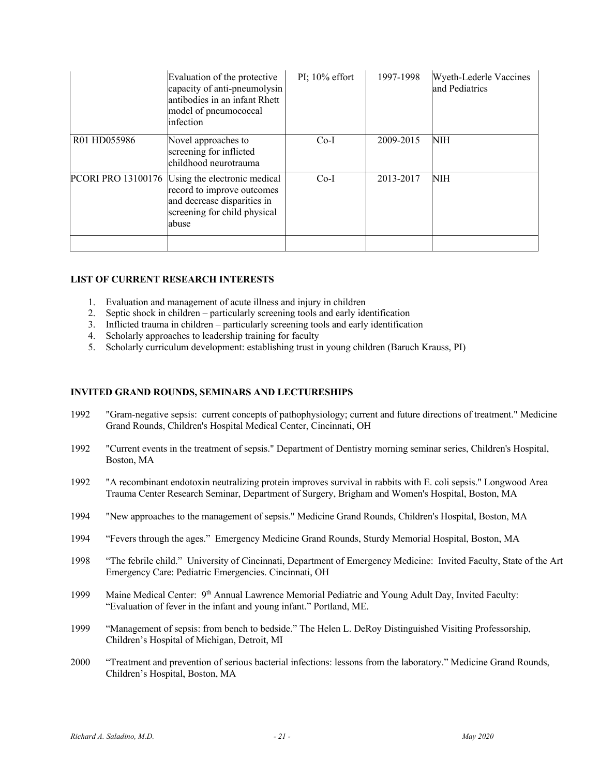|              | Evaluation of the protective<br>capacity of anti-pneumolysin<br>antibodies in an infant Rhett<br>model of pneumococcal<br>infection                   | $PI$ ; 10% effort | 1997-1998 | Wyeth-Lederle Vaccines<br>and Pediatrics |
|--------------|-------------------------------------------------------------------------------------------------------------------------------------------------------|-------------------|-----------|------------------------------------------|
| R01 HD055986 | Novel approaches to<br>screening for inflicted<br>childhood neurotrauma                                                                               | $Co-I$            | 2009-2015 | NIH                                      |
|              | PCORI PRO 13100176 Using the electronic medical<br>record to improve outcomes<br>and decrease disparities in<br>screening for child physical<br>abuse | $Co-I$            | 2013-2017 | NIH                                      |

# **LIST OF CURRENT RESEARCH INTERESTS**

- 1. Evaluation and management of acute illness and injury in children
- 2. Septic shock in children particularly screening tools and early identification
- 3. Inflicted trauma in children particularly screening tools and early identification
- 4. Scholarly approaches to leadership training for faculty
- 5. Scholarly curriculum development: establishing trust in young children (Baruch Krauss, PI)

### **INVITED GRAND ROUNDS, SEMINARS AND LECTURESHIPS**

- 1992 "Gram-negative sepsis: current concepts of pathophysiology; current and future directions of treatment." Medicine Grand Rounds, Children's Hospital Medical Center, Cincinnati, OH
- 1992 "Current events in the treatment of sepsis." Department of Dentistry morning seminar series, Children's Hospital, Boston, MA
- 1992 "A recombinant endotoxin neutralizing protein improves survival in rabbits with E. coli sepsis." Longwood Area Trauma Center Research Seminar, Department of Surgery, Brigham and Women's Hospital, Boston, MA
- 1994 "New approaches to the management of sepsis." Medicine Grand Rounds, Children's Hospital, Boston, MA
- 1994 "Fevers through the ages." Emergency Medicine Grand Rounds, Sturdy Memorial Hospital, Boston, MA
- 1998 "The febrile child." University of Cincinnati, Department of Emergency Medicine: Invited Faculty, State of the Art Emergency Care: Pediatric Emergencies. Cincinnati, OH
- 1999 Maine Medical Center: 9<sup>th</sup> Annual Lawrence Memorial Pediatric and Young Adult Day, Invited Faculty: "Evaluation of fever in the infant and young infant." Portland, ME.
- 1999 "Management of sepsis: from bench to bedside." The Helen L. DeRoy Distinguished Visiting Professorship, Children's Hospital of Michigan, Detroit, MI
- 2000 "Treatment and prevention of serious bacterial infections: lessons from the laboratory." Medicine Grand Rounds, Children's Hospital, Boston, MA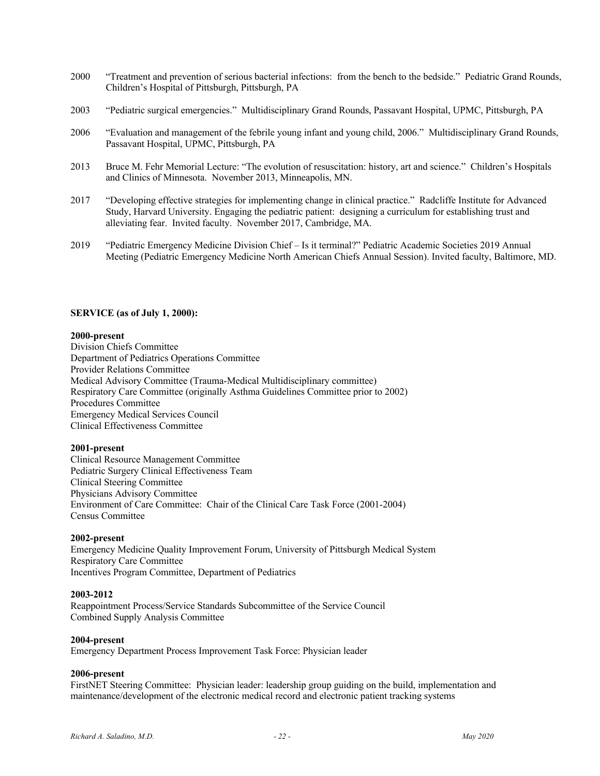- 2000 "Treatment and prevention of serious bacterial infections: from the bench to the bedside." Pediatric Grand Rounds, Children's Hospital of Pittsburgh, Pittsburgh, PA
- 2003 "Pediatric surgical emergencies." Multidisciplinary Grand Rounds, Passavant Hospital, UPMC, Pittsburgh, PA
- 2006 "Evaluation and management of the febrile young infant and young child, 2006." Multidisciplinary Grand Rounds, Passavant Hospital, UPMC, Pittsburgh, PA
- 2013 Bruce M. Fehr Memorial Lecture: "The evolution of resuscitation: history, art and science." Children's Hospitals and Clinics of Minnesota. November 2013, Minneapolis, MN.
- 2017 "Developing effective strategies for implementing change in clinical practice." Radcliffe Institute for Advanced Study, Harvard University. Engaging the pediatric patient: designing a curriculum for establishing trust and alleviating fear. Invited faculty. November 2017, Cambridge, MA.
- 2019 "Pediatric Emergency Medicine Division Chief Is it terminal?" Pediatric Academic Societies 2019 Annual Meeting (Pediatric Emergency Medicine North American Chiefs Annual Session). Invited faculty, Baltimore, MD.

# **SERVICE (as of July 1, 2000):**

#### **2000-present**

Division Chiefs Committee Department of Pediatrics Operations Committee Provider Relations Committee Medical Advisory Committee (Trauma-Medical Multidisciplinary committee) Respiratory Care Committee (originally Asthma Guidelines Committee prior to 2002) Procedures Committee Emergency Medical Services Council Clinical Effectiveness Committee

#### **2001-present**

Clinical Resource Management Committee Pediatric Surgery Clinical Effectiveness Team Clinical Steering Committee Physicians Advisory Committee Environment of Care Committee: Chair of the Clinical Care Task Force (2001-2004) Census Committee

# **2002-present**

Emergency Medicine Quality Improvement Forum, University of Pittsburgh Medical System Respiratory Care Committee Incentives Program Committee, Department of Pediatrics

#### **2003-2012**

Reappointment Process/Service Standards Subcommittee of the Service Council Combined Supply Analysis Committee

#### **2004-present**

Emergency Department Process Improvement Task Force: Physician leader

#### **2006-present**

FirstNET Steering Committee: Physician leader: leadership group guiding on the build, implementation and maintenance/development of the electronic medical record and electronic patient tracking systems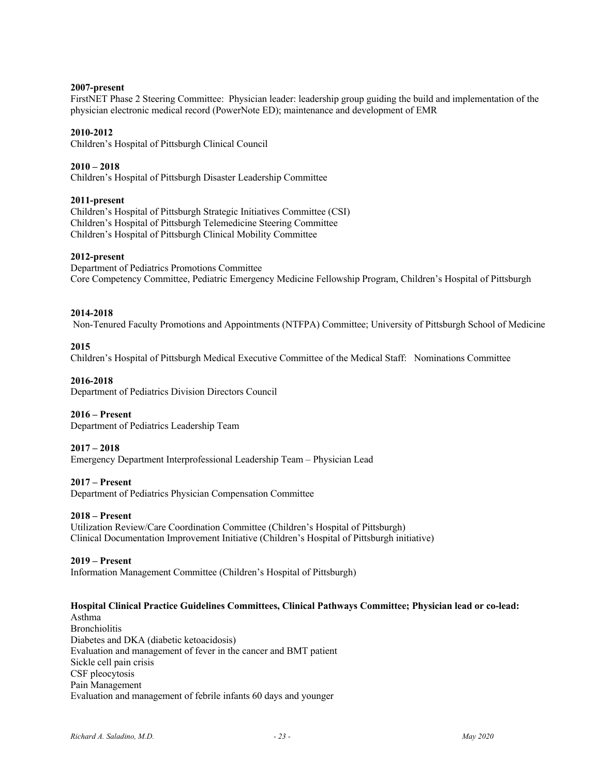# **2007-present**

FirstNET Phase 2 Steering Committee: Physician leader: leadership group guiding the build and implementation of the physician electronic medical record (PowerNote ED); maintenance and development of EMR

# **2010-2012**

Children's Hospital of Pittsburgh Clinical Council

**2010 – 2018**  Children's Hospital of Pittsburgh Disaster Leadership Committee

# **2011-present**

Children's Hospital of Pittsburgh Strategic Initiatives Committee (CSI) Children's Hospital of Pittsburgh Telemedicine Steering Committee Children's Hospital of Pittsburgh Clinical Mobility Committee

# **2012-present**

Department of Pediatrics Promotions Committee Core Competency Committee, Pediatric Emergency Medicine Fellowship Program, Children's Hospital of Pittsburgh

#### **2014-2018**

Non-Tenured Faculty Promotions and Appointments (NTFPA) Committee; University of Pittsburgh School of Medicine

# **2015**

Children's Hospital of Pittsburgh Medical Executive Committee of the Medical Staff: Nominations Committee

# **2016-2018**

Department of Pediatrics Division Directors Council

#### **2016 – Present**

Department of Pediatrics Leadership Team

#### **2017 – 2018**

Emergency Department Interprofessional Leadership Team – Physician Lead

#### **2017 – Present**

Department of Pediatrics Physician Compensation Committee

#### **2018 – Present**

Utilization Review/Care Coordination Committee (Children's Hospital of Pittsburgh) Clinical Documentation Improvement Initiative (Children's Hospital of Pittsburgh initiative)

#### **2019 – Present**

Information Management Committee (Children's Hospital of Pittsburgh)

### **Hospital Clinical Practice Guidelines Committees, Clinical Pathways Committee; Physician lead or co-lead:**

Asthma Bronchiolitis Diabetes and DKA (diabetic ketoacidosis) Evaluation and management of fever in the cancer and BMT patient Sickle cell pain crisis CSF pleocytosis Pain Management Evaluation and management of febrile infants 60 days and younger